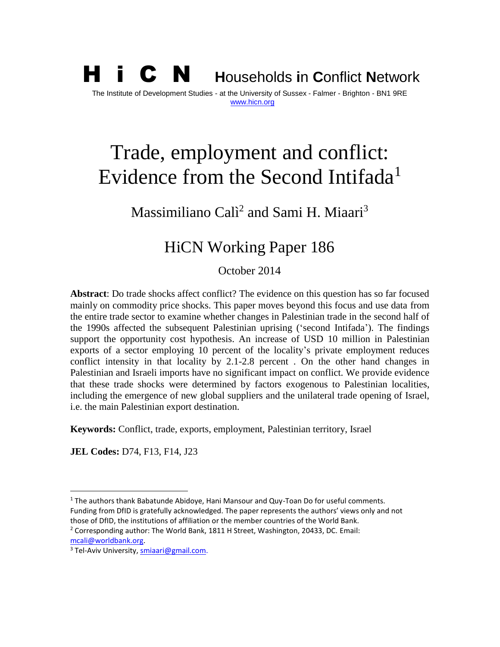H i C N **<sup>H</sup>**ouseholds **i**n **C**onflict **<sup>N</sup>**etwork The Institute of Development Studies - at the University of Sussex - Falmer - Brighton - BN1 9RE [www.hicn.org](http://www.hicn.org/)

# Trade, employment and conflict: Evidence from the Second Intifada<sup>1</sup>

# Massimiliano Calì<sup>2</sup> and Sami H. Miaari<sup>3</sup>

# HiCN Working Paper 186

October 2014

**Abstract**: Do trade shocks affect conflict? The evidence on this question has so far focused mainly on commodity price shocks. This paper moves beyond this focus and use data from the entire trade sector to examine whether changes in Palestinian trade in the second half of the 1990s affected the subsequent Palestinian uprising ('second Intifada'). The findings support the opportunity cost hypothesis. An increase of USD 10 million in Palestinian exports of a sector employing 10 percent of the locality's private employment reduces conflict intensity in that locality by 2.1-2.8 percent . On the other hand changes in Palestinian and Israeli imports have no significant impact on conflict. We provide evidence that these trade shocks were determined by factors exogenous to Palestinian localities, including the emergence of new global suppliers and the unilateral trade opening of Israel, i.e. the main Palestinian export destination.

**Keywords:** Conflict, trade, exports, employment, Palestinian territory, Israel

**JEL Codes:** D74, F13, F14, J23

[mcali@worldbank.org.](mailto:mcali@worldbank.org)

 $\overline{a}$ 

 $<sup>1</sup>$  The authors thank Babatunde Abidoye, Hani Mansour and Quy-Toan Do for useful comments.</sup> Funding from DfID is gratefully acknowledged. The paper represents the authors' views only and not those of DfID, the institutions of affiliation or the member countries of the World Bank.

<sup>2</sup> Corresponding author: The World Bank, 1811 H Street, Washington, 20433, DC. Email:

<sup>&</sup>lt;sup>3</sup> Tel-Aviv University, [smiaari@gmail.com.](mailto:smiaari@gmail.com)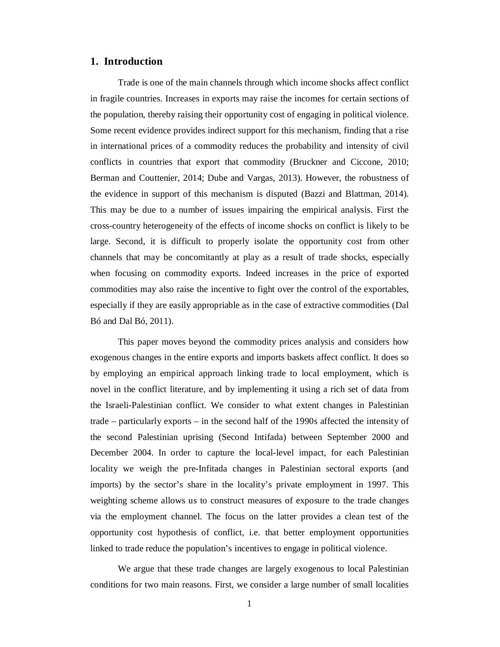#### **1. Introduction**

Trade is one of the main channels through which income shocks affect conflict in fragile countries. Increases in exports may raise the incomes for certain sections of the population, thereby raising their opportunity cost of engaging in political violence. Some recent evidence provides indirect support for this mechanism, finding that a rise in international prices of a commodity reduces the probability and intensity of civil conflicts in countries that export that commodity (Bruckner and Ciccone, 2010; Berman and Couttenier, 2014; Dube and Vargas, 2013). However, the robustness of the evidence in support of this mechanism is disputed (Bazzi and Blattman, 2014). This may be due to a number of issues impairing the empirical analysis. First the cross-country heterogeneity of the effects of income shocks on conflict is likely to be large. Second, it is difficult to properly isolate the opportunity cost from other channels that may be concomitantly at play as a result of trade shocks, especially when focusing on commodity exports. Indeed increases in the price of exported commodities may also raise the incentive to fight over the control of the exportables, especially if they are easily appropriable as in the case of extractive commodities (Dal Bó and Dal Bó, 2011).

This paper moves beyond the commodity prices analysis and considers how exogenous changes in the entire exports and imports baskets affect conflict. It does so by employing an empirical approach linking trade to local employment, which is novel in the conflict literature, and by implementing it using a rich set of data from the Israeli-Palestinian conflict. We consider to what extent changes in Palestinian trade – particularly exports – in the second half of the 1990s affected the intensity of the second Palestinian uprising (Second Intifada) between September 2000 and December 2004. In order to capture the local-level impact, for each Palestinian locality we weigh the pre-Infitada changes in Palestinian sectoral exports (and imports) by the sector's share in the locality's private employment in 1997. This weighting scheme allows us to construct measures of exposure to the trade changes via the employment channel. The focus on the latter provides a clean test of the opportunity cost hypothesis of conflict, i.e. that better employment opportunities linked to trade reduce the population's incentives to engage in political violence.

We argue that these trade changes are largely exogenous to local Palestinian conditions for two main reasons. First, we consider a large number of small localities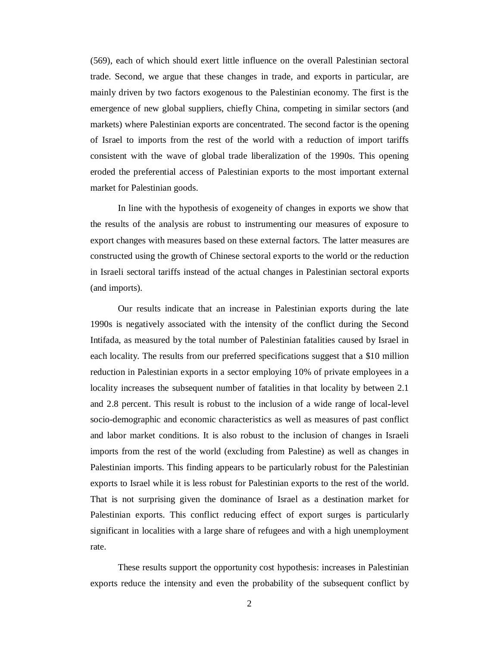(569), each of which should exert little influence on the overall Palestinian sectoral trade. Second, we argue that these changes in trade, and exports in particular, are mainly driven by two factors exogenous to the Palestinian economy. The first is the emergence of new global suppliers, chiefly China, competing in similar sectors (and markets) where Palestinian exports are concentrated. The second factor is the opening of Israel to imports from the rest of the world with a reduction of import tariffs consistent with the wave of global trade liberalization of the 1990s. This opening eroded the preferential access of Palestinian exports to the most important external market for Palestinian goods.

In line with the hypothesis of exogeneity of changes in exports we show that the results of the analysis are robust to instrumenting our measures of exposure to export changes with measures based on these external factors. The latter measures are constructed using the growth of Chinese sectoral exports to the world or the reduction in Israeli sectoral tariffs instead of the actual changes in Palestinian sectoral exports (and imports).

Our results indicate that an increase in Palestinian exports during the late 1990s is negatively associated with the intensity of the conflict during the Second Intifada, as measured by the total number of Palestinian fatalities caused by Israel in each locality. The results from our preferred specifications suggest that a \$10 million reduction in Palestinian exports in a sector employing 10% of private employees in a locality increases the subsequent number of fatalities in that locality by between 2.1 and 2.8 percent. This result is robust to the inclusion of a wide range of local-level socio-demographic and economic characteristics as well as measures of past conflict and labor market conditions. It is also robust to the inclusion of changes in Israeli imports from the rest of the world (excluding from Palestine) as well as changes in Palestinian imports. This finding appears to be particularly robust for the Palestinian exports to Israel while it is less robust for Palestinian exports to the rest of the world. That is not surprising given the dominance of Israel as a destination market for Palestinian exports. This conflict reducing effect of export surges is particularly significant in localities with a large share of refugees and with a high unemployment rate.

These results support the opportunity cost hypothesis: increases in Palestinian exports reduce the intensity and even the probability of the subsequent conflict by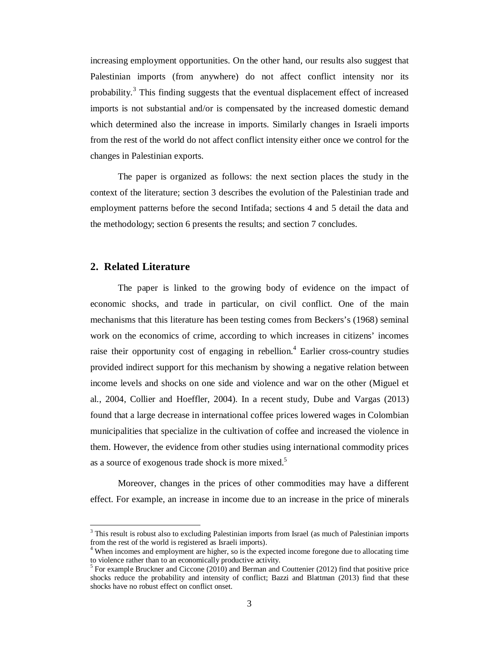increasing employment opportunities. On the other hand, our results also suggest that Palestinian imports (from anywhere) do not affect conflict intensity nor its probability.<sup>3</sup> This finding suggests that the eventual displacement effect of increased imports is not substantial and/or is compensated by the increased domestic demand which determined also the increase in imports. Similarly changes in Israeli imports from the rest of the world do not affect conflict intensity either once we control for the changes in Palestinian exports.

The paper is organized as follows: the next section places the study in the context of the literature; section 3 describes the evolution of the Palestinian trade and employment patterns before the second Intifada; sections 4 and 5 detail the data and the methodology; section 6 presents the results; and section 7 concludes.

# **2. Related Literature**

 $\overline{a}$ 

The paper is linked to the growing body of evidence on the impact of economic shocks, and trade in particular, on civil conflict. One of the main mechanisms that this literature has been testing comes from Beckers's (1968) seminal work on the economics of crime, according to which increases in citizens' incomes raise their opportunity cost of engaging in rebellion.<sup>4</sup> Earlier cross-country studies provided indirect support for this mechanism by showing a negative relation between income levels and shocks on one side and violence and war on the other (Miguel et al., 2004, Collier and Hoeffler, 2004). In a recent study, Dube and Vargas (2013) found that a large decrease in international coffee prices lowered wages in Colombian municipalities that specialize in the cultivation of coffee and increased the violence in them. However, the evidence from other studies using international commodity prices as a source of exogenous trade shock is more mixed.<sup>5</sup>

Moreover, changes in the prices of other commodities may have a different effect. For example, an increase in income due to an increase in the price of minerals

<sup>&</sup>lt;sup>3</sup> This result is robust also to excluding Palestinian imports from Israel (as much of Palestinian imports from the rest of the world is registered as Israeli imports).

<sup>&</sup>lt;sup>4</sup> When incomes and employment are higher, so is the expected income foregone due to allocating time to violence rather than to an economically productive activity.

 $<sup>5</sup>$  For example Bruckner and Ciccone (2010) and Berman and Couttenier (2012) find that positive price</sup> shocks reduce the probability and intensity of conflict; Bazzi and Blattman (2013) find that these shocks have no robust effect on conflict onset.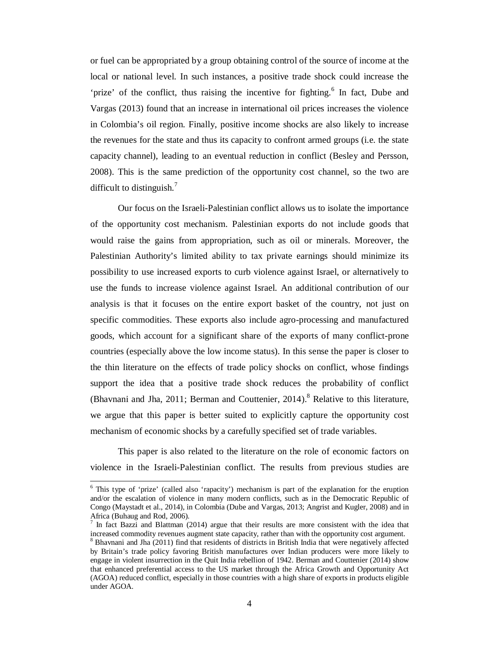or fuel can be appropriated by a group obtaining control of the source of income at the local or national level. In such instances, a positive trade shock could increase the 'prize' of the conflict, thus raising the incentive for fighting.<sup>6</sup> In fact, Dube and Vargas (2013) found that an increase in international oil prices increases the violence in Colombia's oil region. Finally, positive income shocks are also likely to increase the revenues for the state and thus its capacity to confront armed groups (i.e. the state capacity channel), leading to an eventual reduction in conflict (Besley and Persson, 2008). This is the same prediction of the opportunity cost channel, so the two are difficult to distinguish. $\frac{7}{2}$ 

Our focus on the Israeli-Palestinian conflict allows us to isolate the importance of the opportunity cost mechanism. Palestinian exports do not include goods that would raise the gains from appropriation, such as oil or minerals. Moreover, the Palestinian Authority's limited ability to tax private earnings should minimize its possibility to use increased exports to curb violence against Israel, or alternatively to use the funds to increase violence against Israel. An additional contribution of our analysis is that it focuses on the entire export basket of the country, not just on specific commodities. These exports also include agro-processing and manufactured goods, which account for a significant share of the exports of many conflict-prone countries (especially above the low income status). In this sense the paper is closer to the thin literature on the effects of trade policy shocks on conflict, whose findings support the idea that a positive trade shock reduces the probability of conflict (Bhavnani and Jha, 2011; Berman and Couttenier,  $2014$ ).<sup>8</sup> Relative to this literature, we argue that this paper is better suited to explicitly capture the opportunity cost mechanism of economic shocks by a carefully specified set of trade variables.

This paper is also related to the literature on the role of economic factors on violence in the Israeli-Palestinian conflict. The results from previous studies are

 $\ddot{\phantom{a}}$ 

<sup>&</sup>lt;sup>6</sup> This type of 'prize' (called also 'rapacity') mechanism is part of the explanation for the eruption and/or the escalation of violence in many modern conflicts, such as in the Democratic Republic of Congo (Maystadt et al., 2014), in Colombia (Dube and Vargas, 2013; Angrist and Kugler, 2008) and in Africa (Buhaug and Rod, 2006).

<sup>7</sup> In fact Bazzi and Blattman (2014) argue that their results are more consistent with the idea that increased commodity revenues augment state capacity, rather than with the opportunity cost argument. <sup>8</sup> Bhavnani and Jha (2011) find that residents of districts in British India that were negatively affected by Britain's trade policy favoring British manufactures over Indian producers were more likely to engage in violent insurrection in the Quit India rebellion of 1942. Berman and Couttenier (2014) show that enhanced preferential access to the US market through the Africa Growth and Opportunity Act (AGOA) reduced conflict, especially in those countries with a high share of exports in products eligible under AGOA.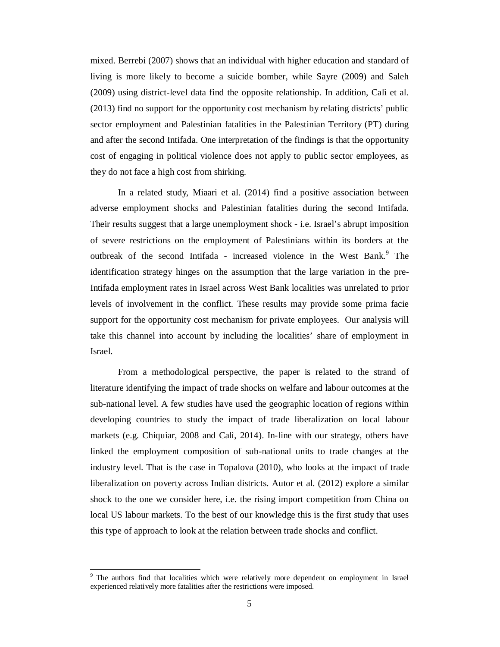mixed. Berrebi (2007) shows that an individual with higher education and standard of living is more likely to become a suicide bomber, while Sayre (2009) and Saleh (2009) using district-level data find the opposite relationship. In addition, Calì et al. (2013) find no support for the opportunity cost mechanism by relating districts' public sector employment and Palestinian fatalities in the Palestinian Territory (PT) during and after the second Intifada. One interpretation of the findings is that the opportunity cost of engaging in political violence does not apply to public sector employees, as they do not face a high cost from shirking.

In a related study, Miaari et al. (2014) find a positive association between adverse employment shocks and Palestinian fatalities during the second Intifada. Their results suggest that a large unemployment shock - i.e. Israel's abrupt imposition of severe restrictions on the employment of Palestinians within its borders at the outbreak of the second Intifada - increased violence in the West Bank.<sup>9</sup> The identification strategy hinges on the assumption that the large variation in the pre-Intifada employment rates in Israel across West Bank localities was unrelated to prior levels of involvement in the conflict. These results may provide some prima facie support for the opportunity cost mechanism for private employees. Our analysis will take this channel into account by including the localities' share of employment in Israel.

From a methodological perspective, the paper is related to the strand of literature identifying the impact of trade shocks on welfare and labour outcomes at the sub-national level. A few studies have used the geographic location of regions within developing countries to study the impact of trade liberalization on local labour markets (e.g. Chiquiar, 2008 and Calì, 2014). In-line with our strategy, others have linked the employment composition of sub-national units to trade changes at the industry level. That is the case in Topalova (2010), who looks at the impact of trade liberalization on poverty across Indian districts. Autor et al. (2012) explore a similar shock to the one we consider here, i.e. the rising import competition from China on local US labour markets. To the best of our knowledge this is the first study that uses this type of approach to look at the relation between trade shocks and conflict.

 $\overline{a}$ <sup>9</sup> The authors find that localities which were relatively more dependent on employment in Israel experienced relatively more fatalities after the restrictions were imposed.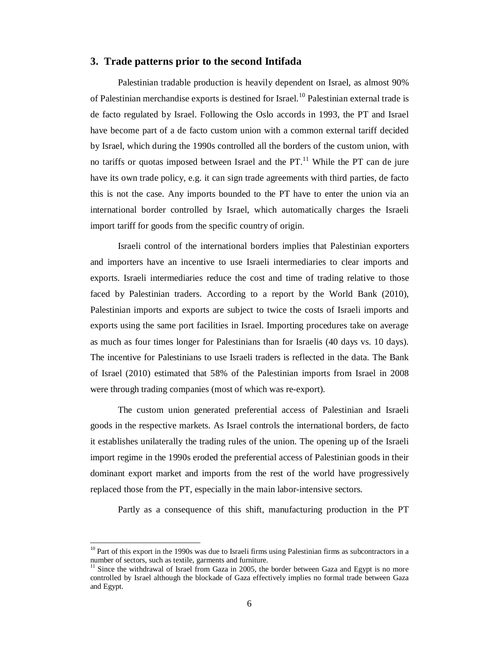#### **3. Trade patterns prior to the second Intifada**

Palestinian tradable production is heavily dependent on Israel, as almost 90% of Palestinian merchandise exports is destined for Israel.<sup>10</sup> Palestinian external trade is de facto regulated by Israel. Following the Oslo accords in 1993, the PT and Israel have become part of a de facto custom union with a common external tariff decided by Israel, which during the 1990s controlled all the borders of the custom union, with no tariffs or quotas imposed between Israel and the PT.<sup>11</sup> While the PT can de jure have its own trade policy, e.g. it can sign trade agreements with third parties, de facto this is not the case. Any imports bounded to the PT have to enter the union via an international border controlled by Israel, which automatically charges the Israeli import tariff for goods from the specific country of origin.

Israeli control of the international borders implies that Palestinian exporters and importers have an incentive to use Israeli intermediaries to clear imports and exports. Israeli intermediaries reduce the cost and time of trading relative to those faced by Palestinian traders. According to a report by the World Bank (2010), Palestinian imports and exports are subject to twice the costs of Israeli imports and exports using the same port facilities in Israel. Importing procedures take on average as much as four times longer for Palestinians than for Israelis (40 days vs. 10 days). The incentive for Palestinians to use Israeli traders is reflected in the data. The Bank of Israel (2010) estimated that 58% of the Palestinian imports from Israel in 2008 were through trading companies (most of which was re-export).

The custom union generated preferential access of Palestinian and Israeli goods in the respective markets. As Israel controls the international borders, de facto it establishes unilaterally the trading rules of the union. The opening up of the Israeli import regime in the 1990s eroded the preferential access of Palestinian goods in their dominant export market and imports from the rest of the world have progressively replaced those from the PT, especially in the main labor-intensive sectors.

Partly as a consequence of this shift, manufacturing production in the PT

 $\overline{a}$ 

<sup>&</sup>lt;sup>10</sup> Part of this export in the 1990s was due to Israeli firms using Palestinian firms as subcontractors in a number of sectors, such as textile, garments and furniture.

 $11$  Since the withdrawal of Israel from Gaza in 2005, the border between Gaza and Egypt is no more controlled by Israel although the blockade of Gaza effectively implies no formal trade between Gaza and Egypt.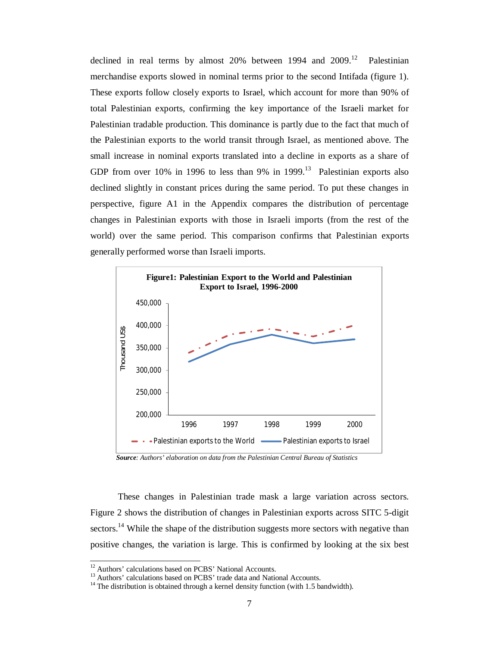declined in real terms by almost  $20%$  between 1994 and  $2009<sup>12</sup>$  Palestinian merchandise exports slowed in nominal terms prior to the second Intifada (figure 1). These exports follow closely exports to Israel, which account for more than 90% of total Palestinian exports, confirming the key importance of the Israeli market for Palestinian tradable production. This dominance is partly due to the fact that much of the Palestinian exports to the world transit through Israel, as mentioned above. The small increase in nominal exports translated into a decline in exports as a share of GDP from over 10% in 1996 to less than 9% in 1999.<sup>13</sup> Palestinian exports also declined slightly in constant prices during the same period. To put these changes in perspective, figure A1 in the Appendix compares the distribution of percentage changes in Palestinian exports with those in Israeli imports (from the rest of the world) over the same period. This comparison confirms that Palestinian exports generally performed worse than Israeli imports.



 *Source: Authors' elaboration on data from the Palestinian Central Bureau of Statistics*

These changes in Palestinian trade mask a large variation across sectors. Figure 2 shows the distribution of changes in Palestinian exports across SITC 5-digit sectors.<sup>14</sup> While the shape of the distribution suggests more sectors with negative than positive changes, the variation is large. This is confirmed by looking at the six best

 $\overline{1}$ 

 $12$  Authors' calculations based on PCBS' National Accounts.

<sup>&</sup>lt;sup>13</sup> Authors' calculations based on PCBS' trade data and National Accounts.

 $14$  The distribution is obtained through a kernel density function (with 1.5 bandwidth).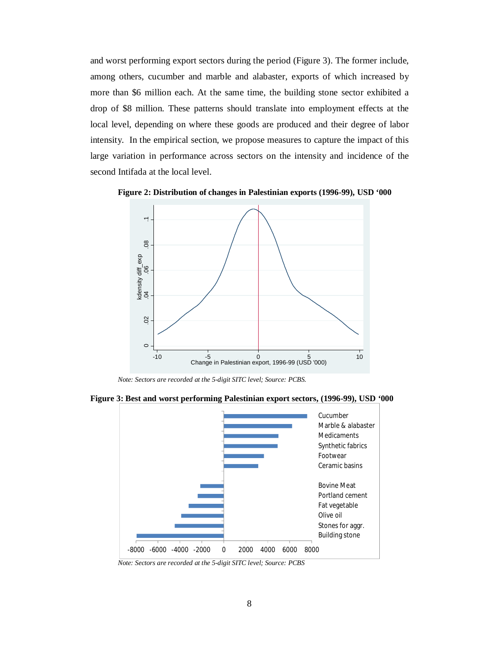and worst performing export sectors during the period (Figure 3). The former include, among others, cucumber and marble and alabaster, exports of which increased by more than \$6 million each. At the same time, the building stone sector exhibited a drop of \$8 million. These patterns should translate into employment effects at the local level, depending on where these goods are produced and their degree of labor intensity. In the empirical section, we propose measures to capture the impact of this large variation in performance across sectors on the intensity and incidence of the second Intifada at the local level.

**Figure 2: Distribution of changes in Palestinian exports (1996-99), USD '000**



*Note: Sectors are recorded at the 5-digit SITC level; Source: PCBS.* 





*Note: Sectors are recorded at the 5-digit SITC level; Source: PCBS*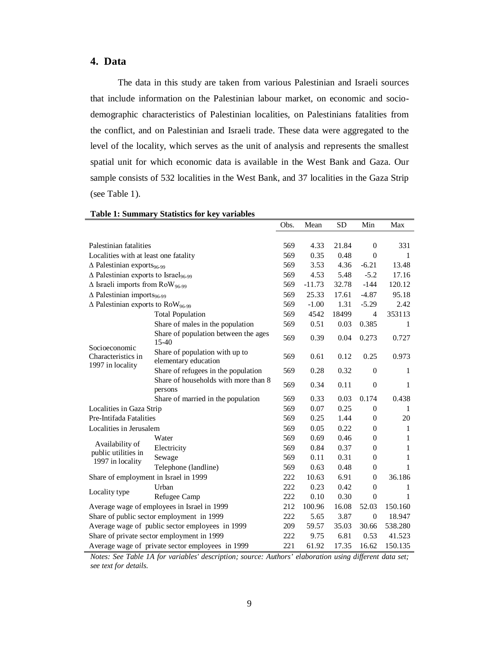# **4. Data**

The data in this study are taken from various Palestinian and Israeli sources that include information on the Palestinian labour market, on economic and sociodemographic characteristics of Palestinian localities, on Palestinians fatalities from the conflict, and on Palestinian and Israeli trade. These data were aggregated to the level of the locality, which serves as the unit of analysis and represents the smallest spatial unit for which economic data is available in the West Bank and Gaza. Our sample consists of 532 localities in the West Bank, and 37 localities in the Gaza Strip (see Table 1).

|                                                            |                                                        | Obs. | Mean     | <b>SD</b>      | Min              | Max          |
|------------------------------------------------------------|--------------------------------------------------------|------|----------|----------------|------------------|--------------|
|                                                            |                                                        |      |          |                |                  |              |
| Palestinian fatalities                                     |                                                        | 569  | 4.33     | 21.84          | $\mathbf{0}$     | 331          |
| Localities with at least one fatality                      | 569                                                    | 0.35 | 0.48     | $\overline{0}$ | 1                |              |
| $\Delta$ Palestinian exports <sub>96-99</sub>              |                                                        | 569  | 3.53     | 4.36           | $-6.21$          | 13.48        |
| $\triangle$ Palestinian exports to Israel <sub>96-99</sub> |                                                        | 569  | 4.53     | 5.48           | $-5.2$           | 17.16        |
| $\Delta$ Israeli imports from RoW <sub>96-99</sub>         |                                                        | 569  | $-11.73$ | 32.78          | $-144$           | 120.12       |
| $\triangle$ Palestinian imports <sub>96-99</sub>           |                                                        | 569  | 25.33    | 17.61          | $-4.87$          | 95.18        |
| $\triangle$ Palestinian exports to RoW <sub>96-99</sub>    |                                                        | 569  | $-1.00$  | 1.31           | $-5.29$          | 2.42         |
|                                                            | <b>Total Population</b>                                | 569  | 4542     | 18499          | $\overline{4}$   | 353113       |
|                                                            | Share of males in the population                       | 569  | 0.51     | 0.03           | 0.385            | 1            |
| Socioeconomic<br>Characteristics in<br>1997 in locality    | Share of population between the ages<br>15-40          | 569  | 0.39     | 0.04           | 0.273            | 0.727        |
|                                                            | Share of population with up to<br>elementary education | 569  | 0.61     | 0.12           | 0.25             | 0.973        |
|                                                            | Share of refugees in the population                    | 569  | 0.28     | 0.32           | $\theta$         | $\mathbf{1}$ |
|                                                            | Share of households with more than 8<br>persons        | 569  | 0.34     | 0.11           | $\overline{0}$   | 1            |
|                                                            | Share of married in the population                     | 569  | 0.33     | 0.03           | 0.174            | 0.438        |
| Localities in Gaza Strip                                   |                                                        | 569  | 0.07     | 0.25           | $\boldsymbol{0}$ | 1            |
| Pre-Intifada Fatalities                                    |                                                        | 569  | 0.25     | 1.44           | $\theta$         | 20           |
| Localities in Jerusalem                                    |                                                        | 569  | 0.05     | 0.22           | $\boldsymbol{0}$ | 1            |
|                                                            | Water                                                  | 569  | 0.69     | 0.46           | $\theta$         | 1            |
| Availability of                                            | Electricity                                            | 569  | 0.84     | 0.37           | $\theta$         | 1            |
| public utilities in<br>1997 in locality                    | Sewage                                                 | 569  | 0.11     | 0.31           | $\boldsymbol{0}$ | 1            |
|                                                            | Telephone (landline)                                   | 569  | 0.63     | 0.48           | $\boldsymbol{0}$ | 1            |
| Share of employment in Israel in 1999                      |                                                        | 222  | 10.63    | 6.91           | $\theta$         | 36.186       |
|                                                            | Urban                                                  | 222  | 0.23     | 0.42           | $\overline{0}$   | 1            |
| Locality type                                              | Refugee Camp                                           | 222  | 0.10     | 0.30           | $\overline{0}$   | 1            |
| Average wage of employees in Israel in 1999                |                                                        | 212  | 100.96   | 16.08          | 52.03            | 150.160      |
|                                                            | Share of public sector employment in 1999              | 222  | 5.65     | 3.87           | $\mathbf{0}$     | 18.947       |
|                                                            | Average wage of public sector employees in 1999        | 209  | 59.57    | 35.03          | 30.66            | 538.280      |
|                                                            | Share of private sector employment in 1999             | 222  | 9.75     | 6.81           | 0.53             | 41.523       |
|                                                            | Average wage of private sector employees in 1999       |      | 61.92    | 17.35          | 16.62            | 150.135      |

**Table 1: Summary Statistics for key variables**

*Notes: See Table 1A for variables' description; source: Authors' elaboration using different data set; see text for details.*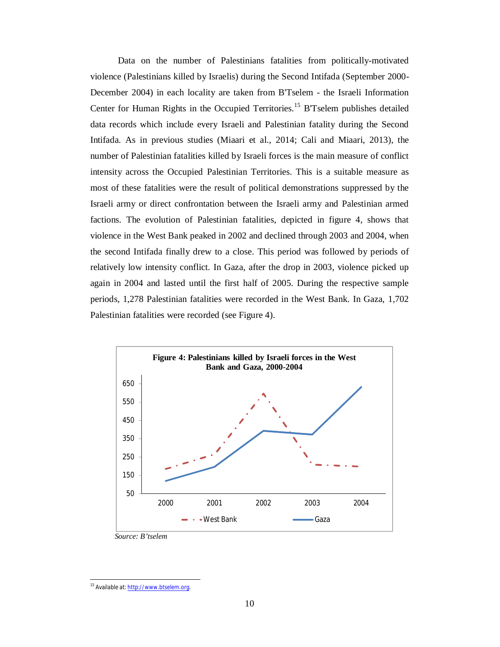Data on the number of Palestinians fatalities from politically-motivated violence (Palestinians killed by Israelis) during the Second Intifada (September 2000- December 2004) in each locality are taken from B'Tselem - the Israeli Information Center for Human Rights in the Occupied Territories.<sup>15</sup> B'Tselem publishes detailed data records which include every Israeli and Palestinian fatality during the Second Intifada. As in previous studies (Miaari et al., 2014; Cali and Miaari, 2013), the number of Palestinian fatalities killed by Israeli forces is the main measure of conflict intensity across the Occupied Palestinian Territories. This is a suitable measure as most of these fatalities were the result of political demonstrations suppressed by the Israeli army or direct confrontation between the Israeli army and Palestinian armed factions. The evolution of Palestinian fatalities, depicted in figure 4, shows that violence in the West Bank peaked in 2002 and declined through 2003 and 2004, when the second Intifada finally drew to a close. This period was followed by periods of relatively low intensity conflict. In Gaza, after the drop in 2003, violence picked up again in 2004 and lasted until the first half of 2005. During the respective sample periods, 1,278 Palestinian fatalities were recorded in the West Bank. In Gaza, 1,702 Palestinian fatalities were recorded (see Figure 4).



*Source: B'tselem*

 $\overline{a}$ <sup>15</sup> Available at: <u>http://www.btselem.org</u>.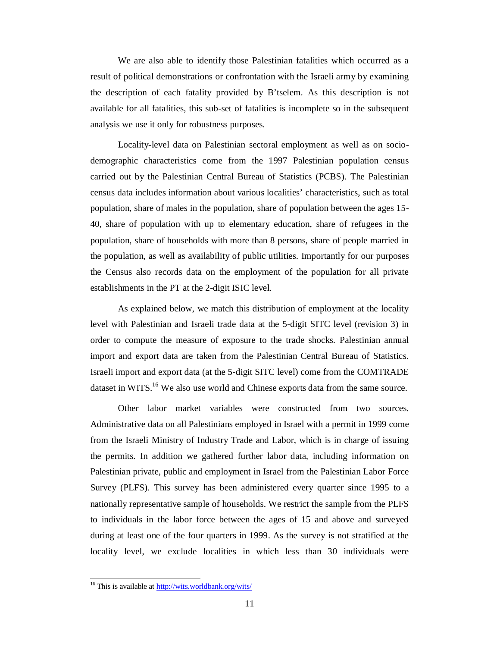We are also able to identify those Palestinian fatalities which occurred as a result of political demonstrations or confrontation with the Israeli army by examining the description of each fatality provided by B'tselem. As this description is not available for all fatalities, this sub-set of fatalities is incomplete so in the subsequent analysis we use it only for robustness purposes.

Locality-level data on Palestinian sectoral employment as well as on sociodemographic characteristics come from the 1997 Palestinian population census carried out by the Palestinian Central Bureau of Statistics (PCBS). The Palestinian census data includes information about various localities' characteristics, such as total population, share of males in the population, share of population between the ages 15- 40, share of population with up to elementary education, share of refugees in the population, share of households with more than 8 persons, share of people married in the population, as well as availability of public utilities. Importantly for our purposes the Census also records data on the employment of the population for all private establishments in the PT at the 2-digit ISIC level.

As explained below, we match this distribution of employment at the locality level with Palestinian and Israeli trade data at the 5-digit SITC level (revision 3) in order to compute the measure of exposure to the trade shocks. Palestinian annual import and export data are taken from the Palestinian Central Bureau of Statistics. Israeli import and export data (at the 5-digit SITC level) come from the COMTRADE dataset in WITS.<sup>16</sup> We also use world and Chinese exports data from the same source.

Other labor market variables were constructed from two sources. Administrative data on all Palestinians employed in Israel with a permit in 1999 come from the Israeli Ministry of Industry Trade and Labor, which is in charge of issuing the permits. In addition we gathered further labor data, including information on Palestinian private, public and employment in Israel from the Palestinian Labor Force Survey (PLFS). This survey has been administered every quarter since 1995 to a nationally representative sample of households. We restrict the sample from the PLFS to individuals in the labor force between the ages of 15 and above and surveyed during at least one of the four quarters in 1999. As the survey is not stratified at the locality level, we exclude localities in which less than 30 individuals were

 $\overline{a}$ 

<sup>&</sup>lt;sup>16</sup> This is available at **http://wits.worldbank.org/wits/**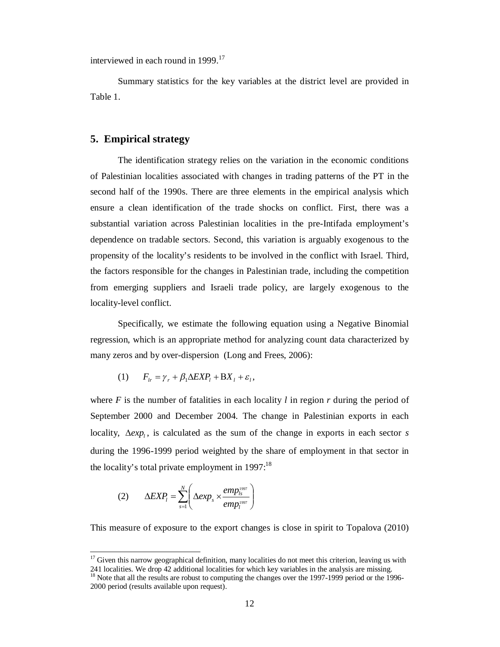interviewed in each round in 1999.<sup>17</sup>

Summary statistics for the key variables at the district level are provided in Table 1.

### **5. Empirical strategy**

The identification strategy relies on the variation in the economic conditions of Palestinian localities associated with changes in trading patterns of the PT in the second half of the 1990s. There are three elements in the empirical analysis which ensure a clean identification of the trade shocks on conflict. First, there was a substantial variation across Palestinian localities in the pre-Intifada employment's dependence on tradable sectors. Second, this variation is arguably exogenous to the propensity of the locality's residents to be involved in the conflict with Israel. Third, the factors responsible for the changes in Palestinian trade, including the competition from emerging suppliers and Israeli trade policy, are largely exogenous to the locality-level conflict.

Specifically, we estimate the following equation using a Negative Binomial regression, which is an appropriate method for analyzing count data characterized by many zeros and by over-dispersion (Long and Frees, 2006):

$$
(1) \tF_{lr} = \gamma_r + \beta_1 \Delta EXP_l + BX_l + \varepsilon_l,
$$

where  $F$  is the number of fatalities in each locality  $l$  in region  $r$  during the period of September 2000 and December 2004. The change in Palestinian exports in each locality,  $\Delta exp_i$ , is calculated as the sum of the change in exports in each sector *s* during the 1996-1999 period weighted by the share of employment in that sector in the locality's total private employment in  $1997$ :<sup>18</sup>

$$
(2) \qquad \Delta EXP_l = \sum_{s=1}^N \left( \Delta exp_s \times \frac{emp_{ls}^{1997}}{emp_l^{1997}} \right)
$$

 $\overline{a}$ 

This measure of exposure to the export changes is close in spirit to Topalova (2010)

 $17$  Given this narrow geographical definition, many localities do not meet this criterion, leaving us with 241 localities. We drop 42 additional localities for which key variables in the analysis are missing.

<sup>&</sup>lt;sup>18</sup> Note that all the results are robust to computing the changes over the 1997-1999 period or the 1996-2000 period (results available upon request).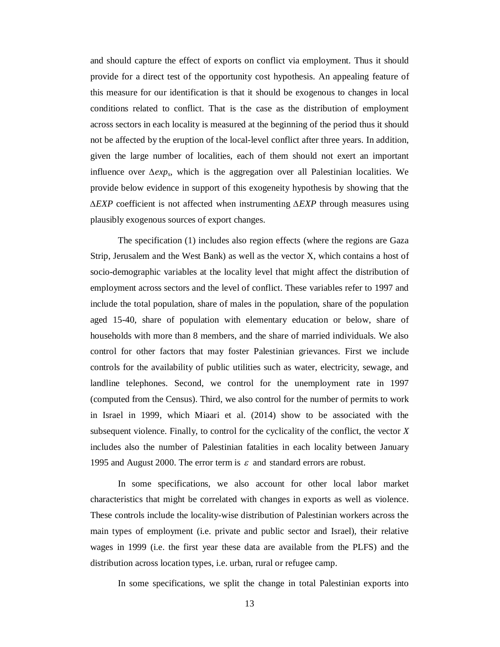and should capture the effect of exports on conflict via employment. Thus it should provide for a direct test of the opportunity cost hypothesis. An appealing feature of this measure for our identification is that it should be exogenous to changes in local conditions related to conflict. That is the case as the distribution of employment across sectors in each locality is measured at the beginning of the period thus it should not be affected by the eruption of the local-level conflict after three years. In addition, given the large number of localities, each of them should not exert an important influence over *∆exps*, which is the aggregation over all Palestinian localities. We provide below evidence in support of this exogeneity hypothesis by showing that the *∆EXP* coefficient is not affected when instrumenting *∆EXP* through measures using plausibly exogenous sources of export changes.

The specification (1) includes also region effects (where the regions are Gaza Strip, Jerusalem and the West Bank) as well as the vector X, which contains a host of socio-demographic variables at the locality level that might affect the distribution of employment across sectors and the level of conflict. These variables refer to 1997 and include the total population, share of males in the population, share of the population aged 15-40, share of population with elementary education or below, share of households with more than 8 members, and the share of married individuals. We also control for other factors that may foster Palestinian grievances. First we include controls for the availability of public utilities such as water, electricity, sewage, and landline telephones. Second, we control for the unemployment rate in 1997 (computed from the Census). Third, we also control for the number of permits to work in Israel in 1999, which Miaari et al. (2014) show to be associated with the subsequent violence. Finally, to control for the cyclicality of the conflict, the vector *X* includes also the number of Palestinian fatalities in each locality between January 1995 and August 2000. The error term is  $\varepsilon$  and standard errors are robust.

In some specifications, we also account for other local labor market characteristics that might be correlated with changes in exports as well as violence. These controls include the locality-wise distribution of Palestinian workers across the main types of employment (i.e. private and public sector and Israel), their relative wages in 1999 (i.e. the first year these data are available from the PLFS) and the distribution across location types, i.e. urban, rural or refugee camp.

In some specifications, we split the change in total Palestinian exports into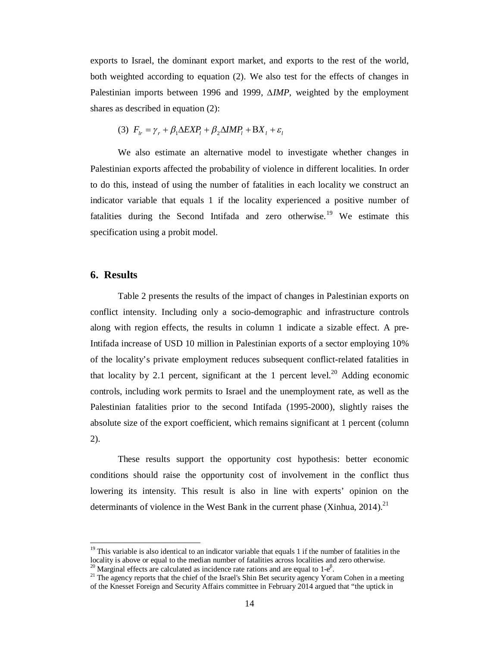exports to Israel, the dominant export market, and exports to the rest of the world, both weighted according to equation (2). We also test for the effects of changes in Palestinian imports between 1996 and 1999, *∆IMP*, weighted by the employment shares as described in equation (2):

$$
(3) \ \ F_{1r} = \gamma_r + \beta_1 \Delta EXP_l + \beta_2 \Delta IMP_l + BX_l + \varepsilon_l
$$

We also estimate an alternative model to investigate whether changes in Palestinian exports affected the probability of violence in different localities. In order to do this, instead of using the number of fatalities in each locality we construct an indicator variable that equals 1 if the locality experienced a positive number of fatalities during the Second Intifada and zero otherwise.<sup>19</sup> We estimate this specification using a probit model.

## **6. Results**

 $\overline{a}$ 

Table 2 presents the results of the impact of changes in Palestinian exports on conflict intensity. Including only a socio-demographic and infrastructure controls along with region effects, the results in column 1 indicate a sizable effect. A pre-Intifada increase of USD 10 million in Palestinian exports of a sector employing 10% of the locality's private employment reduces subsequent conflict-related fatalities in that locality by 2.1 percent, significant at the 1 percent level.<sup>20</sup> Adding economic controls, including work permits to Israel and the unemployment rate, as well as the Palestinian fatalities prior to the second Intifada (1995-2000), slightly raises the absolute size of the export coefficient, which remains significant at 1 percent (column 2).

These results support the opportunity cost hypothesis: better economic conditions should raise the opportunity cost of involvement in the conflict thus lowering its intensity. This result is also in line with experts' opinion on the determinants of violence in the West Bank in the current phase (Xinhua, 2014).<sup>21</sup>

<sup>&</sup>lt;sup>19</sup> This variable is also identical to an indicator variable that equals 1 if the number of fatalities in the locality is above or equal to the median number of fatalities across localities and zero otherwise.

<sup>&</sup>lt;sup>20</sup> Marginal effects are calculated as incidence rate rations and are equal to  $1-e^{\beta}$ .

<sup>&</sup>lt;sup>21</sup> The agency reports that the chief of the Israel's Shin Bet security agency Yoram Cohen in a meeting of the Knesset Foreign and Security Affairs committee in February 2014 argued that "the uptick in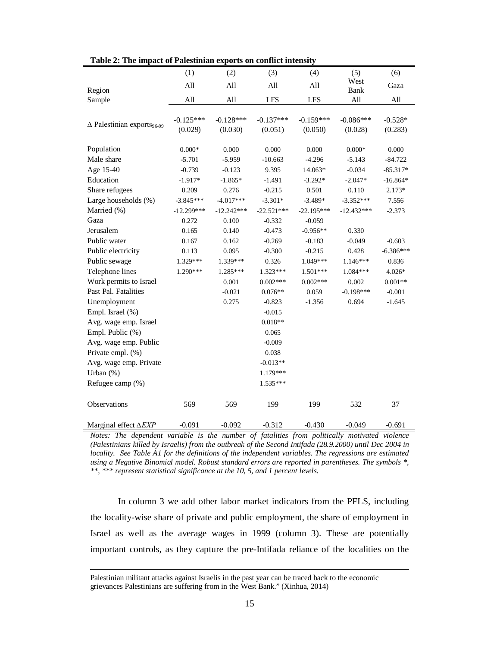| Table 2: The impact of Palestinian exports on conflict intensity |                 |              |              |              |                 |             |
|------------------------------------------------------------------|-----------------|--------------|--------------|--------------|-----------------|-------------|
|                                                                  | (1)             | (2)          | (3)          | (4)          | (5)             | (6)         |
| Region                                                           | All             | All          | All          | All          | West<br>Bank    | Gaza        |
| Sample                                                           | All             | All          | <b>LFS</b>   | <b>LFS</b>   | All             | All         |
|                                                                  |                 |              |              |              |                 |             |
| $\Delta$ Palestinian exports <sub>96-99</sub>                    | $-0.125***$     | $-0.128***$  | $-0.137***$  | $-0.159***$  | $-0.086***$     | $-0.528*$   |
|                                                                  | (0.029)         | (0.030)      | (0.051)      | (0.050)      | (0.028)         | (0.283)     |
|                                                                  |                 |              |              |              |                 |             |
| Population                                                       | $0.000\text{*}$ | 0.000        | 0.000        | 0.000        | $0.000\text{*}$ | 0.000       |
| Male share                                                       | $-5.701$        | $-5.959$     | $-10.663$    | $-4.296$     | $-5.143$        | $-84.722$   |
| Age 15-40                                                        | $-0.739$        | $-0.123$     | 9.395        | 14.063*      | $-0.034$        | $-85.317*$  |
| Education                                                        | $-1.917*$       | $-1.865*$    | $-1.491$     | $-3.292*$    | $-2.047*$       | $-16.864*$  |
| Share refugees                                                   | 0.209           | 0.276        | $-0.215$     | 0.501        | 0.110           | $2.173*$    |
| Large households (%)                                             | $-3.845***$     | $-4.017***$  | $-3.301*$    | $-3.489*$    | $-3.352***$     | 7.556       |
| Married (%)                                                      | $-12.299***$    | $-12.242***$ | $-22.521***$ | $-22.195***$ | $-12.432***$    | $-2.373$    |
| Gaza                                                             | 0.272           | 0.100        | $-0.332$     | $-0.059$     |                 |             |
| Jerusalem                                                        | 0.165           | 0.140        | $-0.473$     | $-0.956**$   | 0.330           |             |
| Public water                                                     | 0.167           | 0.162        | $-0.269$     | $-0.183$     | $-0.049$        | $-0.603$    |
| Public electricity                                               | 0.113           | 0.095        | $-0.300$     | $-0.215$     | 0.428           | $-6.386***$ |
| Public sewage                                                    | 1.329***        | 1.339***     | 0.326        | 1.049***     | 1.146***        | 0.836       |
| Telephone lines                                                  | 1.290***        | 1.285***     | 1.323***     | 1.501***     | 1.084***        | $4.026*$    |
| Work permits to Israel                                           |                 | 0.001        | $0.002***$   | $0.002***$   | 0.002           | $0.001**$   |
| Past Pal. Fatalities                                             |                 | $-0.021$     | $0.076**$    | 0.059        | $-0.198***$     | $-0.001$    |
| Unemployment                                                     |                 | 0.275        | $-0.823$     | $-1.356$     | 0.694           | $-1.645$    |
| Empl. Israel (%)                                                 |                 |              | $-0.015$     |              |                 |             |
| Avg. wage emp. Israel                                            |                 |              | $0.018**$    |              |                 |             |
| Empl. Public (%)                                                 |                 |              | 0.065        |              |                 |             |
| Avg. wage emp. Public                                            |                 |              | $-0.009$     |              |                 |             |
| Private empl. (%)                                                |                 |              | 0.038        |              |                 |             |
| Avg. wage emp. Private                                           |                 |              | $-0.013**$   |              |                 |             |
| Urban $(\%)$                                                     |                 |              | 1.179***     |              |                 |             |
| Refugee camp (%)                                                 |                 |              | 1.535***     |              |                 |             |
| Observations                                                     | 569             | 569          | 199          | 199          | 532             | 37          |
| Marginal effect AEXP                                             | $-0.091$        | $-0.092$     | $-0.312$     | $-0.430$     | $-0.049$        | $-0.691$    |

**Table 2: The impact of Palestinian exports on conflict intensity**

*Notes: The dependent variable is the number of fatalities from politically motivated violence (Palestinians killed by Israelis) from the outbreak of the Second Intifada (28.9.2000) until Dec 2004 in locality. See Table A1 for the definitions of the independent variables. The regressions are estimated using a Negative Binomial model. Robust standard errors are reported in parentheses. The symbols \*, \*\*, \*\*\* represent statistical significance at the 10, 5, and 1 percent levels.*

In column 3 we add other labor market indicators from the PFLS, including the locality-wise share of private and public employment, the share of employment in Israel as well as the average wages in 1999 (column 3). These are potentially important controls, as they capture the pre-Intifada reliance of the localities on the

Palestinian militant attacks against Israelis in the past year can be traced back to the economic grievances Palestinians are suffering from in the West Bank." (Xinhua, 2014)

 $\overline{a}$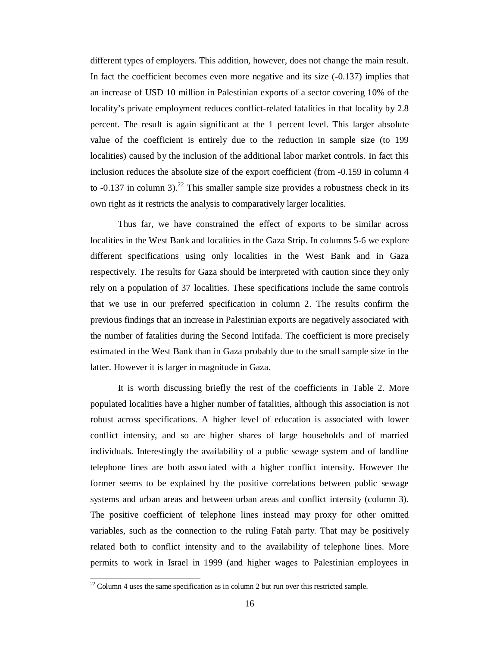different types of employers. This addition, however, does not change the main result. In fact the coefficient becomes even more negative and its size (-0.137) implies that an increase of USD 10 million in Palestinian exports of a sector covering 10% of the locality's private employment reduces conflict-related fatalities in that locality by 2.8 percent. The result is again significant at the 1 percent level. This larger absolute value of the coefficient is entirely due to the reduction in sample size (to 199 localities) caused by the inclusion of the additional labor market controls. In fact this inclusion reduces the absolute size of the export coefficient (from -0.159 in column 4 to  $-0.137$  in column 3).<sup>22</sup> This smaller sample size provides a robustness check in its own right as it restricts the analysis to comparatively larger localities.

Thus far, we have constrained the effect of exports to be similar across localities in the West Bank and localities in the Gaza Strip. In columns 5-6 we explore different specifications using only localities in the West Bank and in Gaza respectively. The results for Gaza should be interpreted with caution since they only rely on a population of 37 localities. These specifications include the same controls that we use in our preferred specification in column 2. The results confirm the previous findings that an increase in Palestinian exports are negatively associated with the number of fatalities during the Second Intifada. The coefficient is more precisely estimated in the West Bank than in Gaza probably due to the small sample size in the latter. However it is larger in magnitude in Gaza.

It is worth discussing briefly the rest of the coefficients in Table 2. More populated localities have a higher number of fatalities, although this association is not robust across specifications. A higher level of education is associated with lower conflict intensity, and so are higher shares of large households and of married individuals. Interestingly the availability of a public sewage system and of landline telephone lines are both associated with a higher conflict intensity. However the former seems to be explained by the positive correlations between public sewage systems and urban areas and between urban areas and conflict intensity (column 3). The positive coefficient of telephone lines instead may proxy for other omitted variables, such as the connection to the ruling Fatah party. That may be positively related both to conflict intensity and to the availability of telephone lines. More permits to work in Israel in 1999 (and higher wages to Palestinian employees in

 $\overline{a}$ 

 $22$  Column 4 uses the same specification as in column 2 but run over this restricted sample.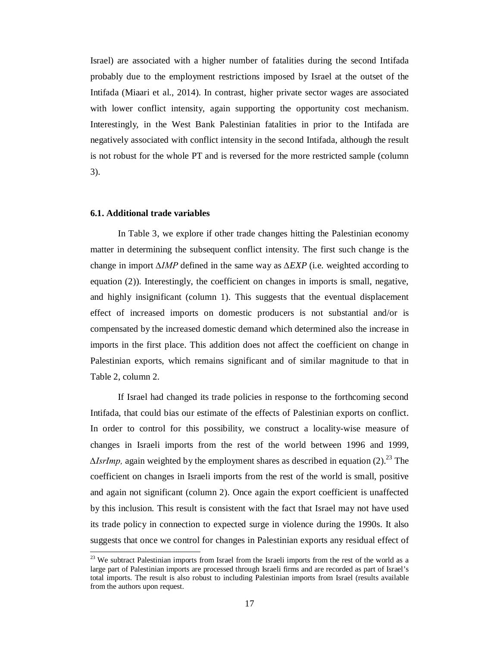Israel) are associated with a higher number of fatalities during the second Intifada probably due to the employment restrictions imposed by Israel at the outset of the Intifada (Miaari et al., 2014). In contrast, higher private sector wages are associated with lower conflict intensity, again supporting the opportunity cost mechanism. Interestingly, in the West Bank Palestinian fatalities in prior to the Intifada are negatively associated with conflict intensity in the second Intifada, although the result is not robust for the whole PT and is reversed for the more restricted sample (column 3).

#### **6.1. Additional trade variables**

 $\overline{a}$ 

In Table 3, we explore if other trade changes hitting the Palestinian economy matter in determining the subsequent conflict intensity. The first such change is the change in import *∆IMP* defined in the same way as *∆EXP* (i.e. weighted according to equation (2)). Interestingly, the coefficient on changes in imports is small, negative, and highly insignificant (column 1). This suggests that the eventual displacement effect of increased imports on domestic producers is not substantial and/or is compensated by the increased domestic demand which determined also the increase in imports in the first place. This addition does not affect the coefficient on change in Palestinian exports, which remains significant and of similar magnitude to that in Table 2, column 2.

If Israel had changed its trade policies in response to the forthcoming second Intifada, that could bias our estimate of the effects of Palestinian exports on conflict. In order to control for this possibility, we construct a locality-wise measure of changes in Israeli imports from the rest of the world between 1996 and 1999, *∆IsrImp*, again weighted by the employment shares as described in equation (2).<sup>23</sup> The coefficient on changes in Israeli imports from the rest of the world is small, positive and again not significant (column 2). Once again the export coefficient is unaffected by this inclusion. This result is consistent with the fact that Israel may not have used its trade policy in connection to expected surge in violence during the 1990s. It also suggests that once we control for changes in Palestinian exports any residual effect of

<sup>&</sup>lt;sup>23</sup> We subtract Palestinian imports from Israel from the Israeli imports from the rest of the world as a large part of Palestinian imports are processed through Israeli firms and are recorded as part of Israel's total imports. The result is also robust to including Palestinian imports from Israel (results available from the authors upon request.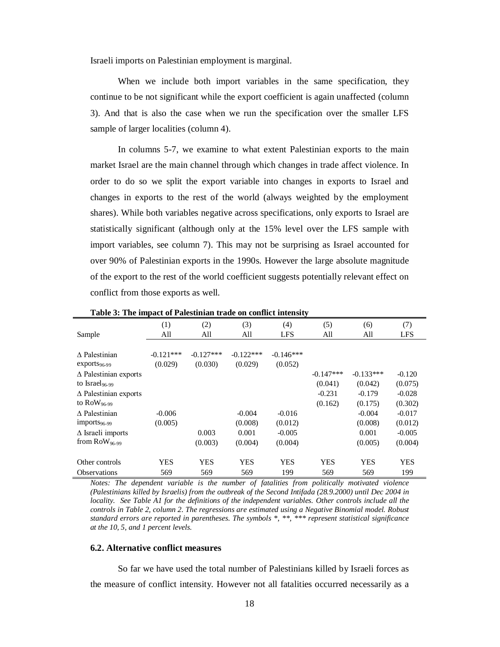Israeli imports on Palestinian employment is marginal.

When we include both import variables in the same specification, they continue to be not significant while the export coefficient is again unaffected (column 3). And that is also the case when we run the specification over the smaller LFS sample of larger localities (column 4).

In columns 5-7, we examine to what extent Palestinian exports to the main market Israel are the main channel through which changes in trade affect violence. In order to do so we split the export variable into changes in exports to Israel and changes in exports to the rest of the world (always weighted by the employment shares). While both variables negative across specifications, only exports to Israel are statistically significant (although only at the 15% level over the LFS sample with import variables, see column 7). This may not be surprising as Israel accounted for over 90% of Palestinian exports in the 1990s. However the large absolute magnitude of the export to the rest of the world coefficient suggests potentially relevant effect on conflict from those exports as well.

|                              | (1)<br>All  | (2)<br>All  | (3)<br>All  | (4)<br><b>LFS</b> | (5)<br>All  | (6)<br>All  | (7)<br><b>LFS</b> |
|------------------------------|-------------|-------------|-------------|-------------------|-------------|-------------|-------------------|
| Sample                       |             |             |             |                   |             |             |                   |
| $\Lambda$ Palestinian        | $-0.121***$ | $-0.127***$ | $-0.122***$ | $-0.146***$       |             |             |                   |
| $exports_{96-99}$            | (0.029)     | (0.030)     | (0.029)     | (0.052)           |             |             |                   |
| $\Delta$ Palestinian exports |             |             |             |                   | $-0.147***$ | $-0.133***$ | $-0.120$          |
| to Israel <sub>96-99</sub>   |             |             |             |                   | (0.041)     | (0.042)     | (0.075)           |
| $\Delta$ Palestinian exports |             |             |             |                   | $-0.231$    | $-0.179$    | $-0.028$          |
| to $\text{RoW}_{96-99}$      |             |             |             |                   | (0.162)     | (0.175)     | (0.302)           |
| $\Lambda$ Palestinian        | $-0.006$    |             | $-0.004$    | $-0.016$          |             | $-0.004$    | $-0.017$          |
| $imports_{96-99}$            | (0.005)     |             | (0.008)     | (0.012)           |             | (0.008)     | (0.012)           |
| $\Delta$ Israeli imports     |             | 0.003       | 0.001       | $-0.005$          |             | 0.001       | $-0.005$          |
| from $Row_{96-99}$           |             | (0.003)     | (0.004)     | (0.004)           |             | (0.005)     | (0.004)           |
| Other controls               | <b>YES</b>  | <b>YES</b>  | <b>YES</b>  | <b>YES</b>        | <b>YES</b>  | <b>YES</b>  | <b>YES</b>        |
| <b>Observations</b>          | 569         | 569         | 569         | 199               | 569         | 569         | 199               |

**Table 3: The impact of Palestinian trade on conflict intensity**

*Notes: The dependent variable is the number of fatalities from politically motivated violence (Palestinians killed by Israelis) from the outbreak of the Second Intifada (28.9.2000) until Dec 2004 in locality. See Table A1 for the definitions of the independent variables. Other controls include all the controls in Table 2, column 2. The regressions are estimated using a Negative Binomial model. Robust standard errors are reported in parentheses. The symbols \*, \*\*, \*\*\* represent statistical significance at the 10, 5, and 1 percent levels.*

#### **6.2. Alternative conflict measures**

So far we have used the total number of Palestinians killed by Israeli forces as the measure of conflict intensity. However not all fatalities occurred necessarily as a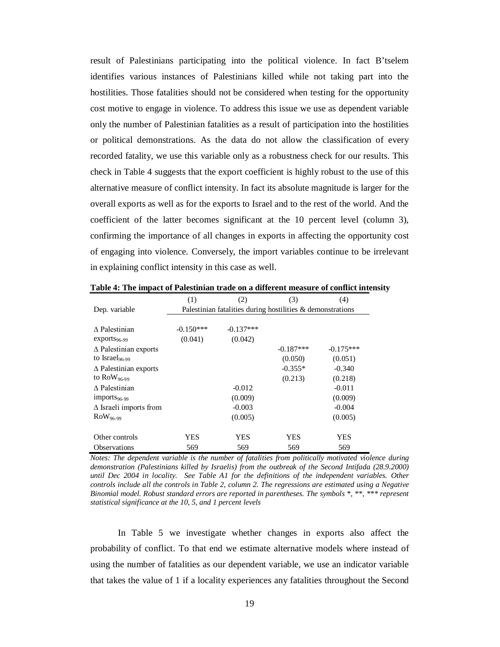result of Palestinians participating into the political violence. In fact B'tselem identifies various instances of Palestinians killed while not taking part into the hostilities. Those fatalities should not be considered when testing for the opportunity cost motive to engage in violence. To address this issue we use as dependent variable only the number of Palestinian fatalities as a result of participation into the hostilities or political demonstrations. As the data do not allow the classification of every recorded fatality, we use this variable only as a robustness check for our results. This check in Table 4 suggests that the export coefficient is highly robust to the use of this alternative measure of conflict intensity. In fact its absolute magnitude is larger for the overall exports as well as for the exports to Israel and to the rest of the world. And the coefficient of the latter becomes significant at the 10 percent level (column 3), confirming the importance of all changes in exports in affecting the opportunity cost of engaging into violence. Conversely, the import variables continue to be irrelevant in explaining conflict intensity in this case as well.

|                                 | (1)         | (2)                                                        | (3)         | (4)         |
|---------------------------------|-------------|------------------------------------------------------------|-------------|-------------|
| Dep. variable                   |             | Palestinian fatalities during hostilities & demonstrations |             |             |
|                                 |             |                                                            |             |             |
| $\Lambda$ Palestinian           | $-0.150***$ | $-0.137***$                                                |             |             |
| $exports_{96-99}$               | (0.041)     | (0.042)                                                    |             |             |
| $\triangle$ Palestinian exports |             |                                                            | $-0.187***$ | $-0.175***$ |
| to Israel <sub>96-99</sub>      |             |                                                            | (0.050)     | (0.051)     |
| $\triangle$ Palestinian exports |             |                                                            | $-0.355*$   | $-0.340$    |
| to $Row_{96-99}$                |             |                                                            | (0.213)     | (0.218)     |
| $\Lambda$ Palestinian           |             | $-0.012$                                                   |             | $-0.011$    |
| $imports96-99$                  |             | (0.009)                                                    |             | (0.009)     |
| $\Delta$ Israeli imports from   |             | $-0.003$                                                   |             | $-0.004$    |
| $Row_{96-99}$                   |             | (0.005)                                                    |             | (0.005)     |
|                                 |             |                                                            |             |             |
| Other controls                  | YES         | YES                                                        | YES         | YES         |
| <b>Observations</b>             | 569         | 569                                                        | 569         | 569         |

**Table 4: The impact of Palestinian trade on a different measure of conflict intensity**

*Notes: The dependent variable is the number of fatalities from politically motivated violence during demonstration (Palestinians killed by Israelis) from the outbreak of the Second Intifada (28.9.2000) until Dec 2004 in locality. See Table A1 for the definitions of the independent variables. Other controls include all the controls in Table 2, column 2. The regressions are estimated using a Negative Binomial model. Robust standard errors are reported in parentheses. The symbols \*, \*\*, \*\*\* represent statistical significance at the 10, 5, and 1 percent levels*

In Table 5 we investigate whether changes in exports also affect the probability of conflict. To that end we estimate alternative models where instead of using the number of fatalities as our dependent variable, we use an indicator variable that takes the value of 1 if a locality experiences any fatalities throughout the Second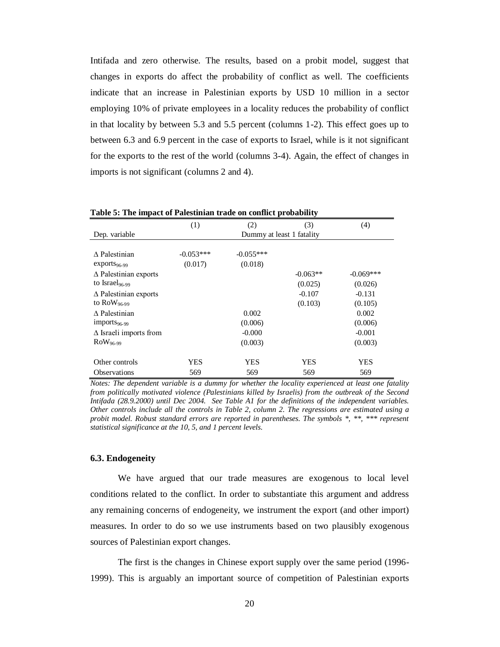Intifada and zero otherwise. The results, based on a probit model, suggest that changes in exports do affect the probability of conflict as well. The coefficients indicate that an increase in Palestinian exports by USD 10 million in a sector employing 10% of private employees in a locality reduces the probability of conflict in that locality by between 5.3 and 5.5 percent (columns 1-2). This effect goes up to between 6.3 and 6.9 percent in the case of exports to Israel, while is it not significant for the exports to the rest of the world (columns 3-4). Again, the effect of changes in imports is not significant (columns 2 and 4).

|                                 | (1)         | (2)                       | (3)        | (4)         |
|---------------------------------|-------------|---------------------------|------------|-------------|
| Dep. variable                   |             | Dummy at least 1 fatality |            |             |
|                                 |             |                           |            |             |
| $\Lambda$ Palestinian           | $-0.053***$ | $-0.055***$               |            |             |
| $exports96-99$                  | (0.017)     | (0.018)                   |            |             |
| $\triangle$ Palestinian exports |             |                           | $-0.063**$ | $-0.069***$ |
| to Israel <sub>96-99</sub>      |             |                           | (0.025)    | (0.026)     |
| $\Delta$ Palestinian exports    |             |                           | $-0.107$   | $-0.131$    |
| to $\text{Row}_{96-99}$         |             |                           | (0.103)    | (0.105)     |
| A Palestinian                   |             | 0.002                     |            | 0.002       |
| $imports96-99$                  |             | (0.006)                   |            | (0.006)     |
| $\Delta$ Israeli imports from   |             | $-0.000$                  |            | $-0.001$    |
| $Row_{96-99}$                   |             | (0.003)                   |            | (0.003)     |
|                                 |             |                           |            |             |
| Other controls                  | YES         | <b>YES</b>                | <b>YES</b> | YES         |
| Observations                    | 569         | 569                       | 569        | 569         |

**Table 5: The impact of Palestinian trade on conflict probability**

*Notes: The dependent variable is a dummy for whether the locality experienced at least one fatality from politically motivated violence (Palestinians killed by Israelis) from the outbreak of the Second Intifada (28.9.2000) until Dec 2004. See Table A1 for the definitions of the independent variables. Other controls include all the controls in Table 2, column 2. The regressions are estimated using a probit model. Robust standard errors are reported in parentheses. The symbols \*, \*\*, \*\*\* represent statistical significance at the 10, 5, and 1 percent levels.*

#### **6.3. Endogeneity**

We have argued that our trade measures are exogenous to local level conditions related to the conflict. In order to substantiate this argument and address any remaining concerns of endogeneity, we instrument the export (and other import) measures. In order to do so we use instruments based on two plausibly exogenous sources of Palestinian export changes.

The first is the changes in Chinese export supply over the same period (1996- 1999). This is arguably an important source of competition of Palestinian exports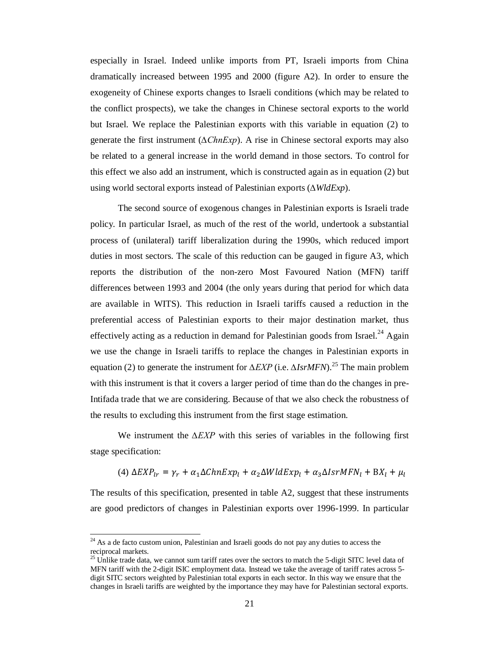especially in Israel. Indeed unlike imports from PT, Israeli imports from China dramatically increased between 1995 and 2000 (figure A2). In order to ensure the exogeneity of Chinese exports changes to Israeli conditions (which may be related to the conflict prospects), we take the changes in Chinese sectoral exports to the world but Israel. We replace the Palestinian exports with this variable in equation (2) to generate the first instrument (*∆ChnExp*). A rise in Chinese sectoral exports may also be related to a general increase in the world demand in those sectors. To control for this effect we also add an instrument, which is constructed again as in equation (2) but using world sectoral exports instead of Palestinian exports (*∆WldExp*).

The second source of exogenous changes in Palestinian exports is Israeli trade policy. In particular Israel, as much of the rest of the world, undertook a substantial process of (unilateral) tariff liberalization during the 1990s, which reduced import duties in most sectors. The scale of this reduction can be gauged in figure A3, which reports the distribution of the non-zero Most Favoured Nation (MFN) tariff differences between 1993 and 2004 (the only years during that period for which data are available in WITS). This reduction in Israeli tariffs caused a reduction in the preferential access of Palestinian exports to their major destination market, thus effectively acting as a reduction in demand for Palestinian goods from Israel.<sup>24</sup> Again we use the change in Israeli tariffs to replace the changes in Palestinian exports in equation (2) to generate the instrument for *∆EXP* (i.e. *∆IsrMFN*). <sup>25</sup> The main problem with this instrument is that it covers a larger period of time than do the changes in pre-Intifada trade that we are considering. Because of that we also check the robustness of the results to excluding this instrument from the first stage estimation.

We instrument the *∆EXP* with this series of variables in the following first stage specification:

(4) 
$$
\Delta EXP_{lr} = \gamma_r + \alpha_1 \Delta ChnExp_l + \alpha_2 \Delta WldExp_l + \alpha_3 \Delta IsrMFN_l + BX_l + \mu_l
$$

The results of this specification, presented in table A2, suggest that these instruments are good predictors of changes in Palestinian exports over 1996-1999. In particular

 $\ddot{\phantom{a}}$ 

 $24$  As a de facto custom union, Palestinian and Israeli goods do not pay any duties to access the reciprocal markets.

 $25$  Unlike trade data, we cannot sum tariff rates over the sectors to match the 5-digit SITC level data of MFN tariff with the 2-digit ISIC employment data. Instead we take the average of tariff rates across 5 digit SITC sectors weighted by Palestinian total exports in each sector. In this way we ensure that the changes in Israeli tariffs are weighted by the importance they may have for Palestinian sectoral exports.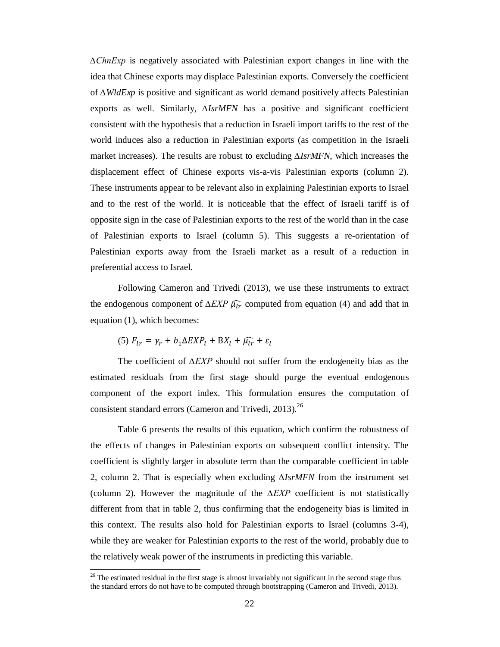*∆ChnExp* is negatively associated with Palestinian export changes in line with the idea that Chinese exports may displace Palestinian exports. Conversely the coefficient of *∆WldExp* is positive and significant as world demand positively affects Palestinian exports as well. Similarly, *∆IsrMFN* has a positive and significant coefficient consistent with the hypothesis that a reduction in Israeli import tariffs to the rest of the world induces also a reduction in Palestinian exports (as competition in the Israeli market increases). The results are robust to excluding *∆IsrMFN*, which increases the displacement effect of Chinese exports vis-a-vis Palestinian exports (column 2). These instruments appear to be relevant also in explaining Palestinian exports to Israel and to the rest of the world. It is noticeable that the effect of Israeli tariff is of opposite sign in the case of Palestinian exports to the rest of the world than in the case of Palestinian exports to Israel (column 5). This suggests a re-orientation of Palestinian exports away from the Israeli market as a result of a reduction in preferential access to Israel.

Following Cameron and Trivedi (2013), we use these instruments to extract the endogenous component of  $\Delta EXP \widehat{\mu_{lr}}$  computed from equation (4) and add that in equation (1), which becomes:

$$
(5) F_{lr} = \gamma_r + b_1 \Delta EXP_l + BX_l + \widehat{\mu_{lr}} + \varepsilon_l
$$

 $\overline{a}$ 

The coefficient of *∆EXP* should not suffer from the endogeneity bias as the estimated residuals from the first stage should purge the eventual endogenous component of the export index. This formulation ensures the computation of consistent standard errors (Cameron and Trivedi, 2013).<sup>26</sup>

Table 6 presents the results of this equation, which confirm the robustness of the effects of changes in Palestinian exports on subsequent conflict intensity. The coefficient is slightly larger in absolute term than the comparable coefficient in table 2, column 2. That is especially when excluding *∆IsrMFN* from the instrument set (column 2). However the magnitude of the *∆EXP* coefficient is not statistically different from that in table 2, thus confirming that the endogeneity bias is limited in this context. The results also hold for Palestinian exports to Israel (columns 3-4), while they are weaker for Palestinian exports to the rest of the world, probably due to the relatively weak power of the instruments in predicting this variable.

<sup>&</sup>lt;sup>26</sup> The estimated residual in the first stage is almost invariably not significant in the second stage thus the standard errors do not have to be computed through bootstrapping (Cameron and Trivedi, 2013).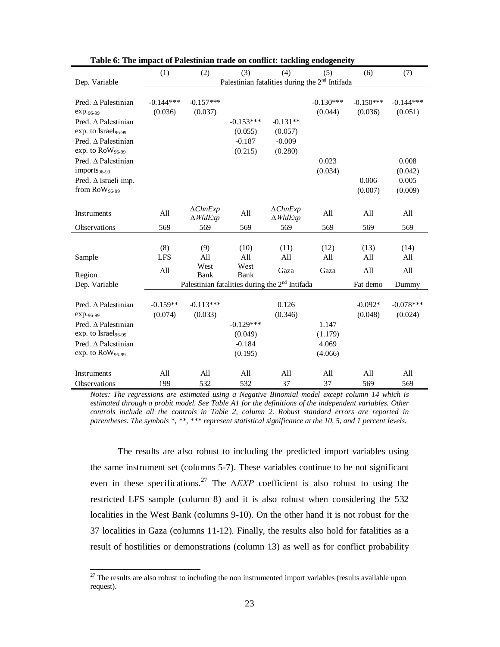|                                                        | (1)                    | (2)                                       | (3)                                                        | (4)                                      | (5)         | (6)                    | (7)                    |
|--------------------------------------------------------|------------------------|-------------------------------------------|------------------------------------------------------------|------------------------------------------|-------------|------------------------|------------------------|
| Dep. Variable                                          |                        |                                           | Palestinian fatalities during the 2 <sup>nd</sup> Intifada |                                          |             |                        |                        |
|                                                        |                        |                                           |                                                            |                                          | $-0.130***$ |                        |                        |
| Pred. $\triangle$ Palestinian<br>exp. <sub>96-99</sub> | $-0.144***$<br>(0.036) | $-0.157***$<br>(0.037)                    |                                                            |                                          | (0.044)     | $-0.150***$<br>(0.036) | $-0.144***$<br>(0.051) |
| Pred. A Palestinian                                    |                        |                                           | $-0.153***$                                                | $-0.131**$                               |             |                        |                        |
| exp. to Israel <sub>96-99</sub>                        |                        |                                           | (0.055)                                                    | (0.057)                                  |             |                        |                        |
| Pred. $\triangle$ Palestinian                          |                        |                                           | $-0.187$                                                   | $-0.009$                                 |             |                        |                        |
| exp. to $Row_{96-99}$                                  |                        |                                           | (0.215)                                                    | (0.280)                                  |             |                        |                        |
| Pred. $\triangle$ Palestinian                          |                        |                                           |                                                            |                                          | 0.023       |                        | 0.008                  |
| $imports96-99$                                         |                        |                                           |                                                            |                                          | (0.034)     |                        | (0.042)                |
| Pred. ∆ Israeli imp.                                   |                        |                                           |                                                            |                                          |             | 0.006                  | 0.005                  |
| from RoW <sub>96-99</sub>                              |                        |                                           |                                                            |                                          |             | (0.007)                | (0.009)                |
|                                                        |                        |                                           |                                                            |                                          |             |                        |                        |
| Instruments                                            | All                    | $\triangle ChnExp$<br>$\triangle W$ ldExp | All                                                        | $\triangle ChnExp$<br>$\triangle$ WldExp | All         | All                    | All                    |
| Observations                                           | 569                    | 569                                       | 569                                                        | 569                                      | 569         | 569                    | 569                    |
|                                                        |                        |                                           |                                                            |                                          |             |                        |                        |
|                                                        | (8)                    | (9)                                       | (10)                                                       | (11)                                     | (12)        | (13)                   | (14)                   |
| Sample                                                 | <b>LFS</b>             | All                                       | All                                                        | All                                      | All         | All                    | All                    |
| Region                                                 | All                    | West<br>Bank                              | West<br>Bank                                               | Gaza                                     | Gaza        | All                    | All                    |
| Dep. Variable                                          |                        |                                           | Palestinian fatalities during the 2 <sup>nd</sup> Intifada |                                          |             | Fat demo               | Dummy                  |
|                                                        |                        |                                           |                                                            |                                          |             |                        |                        |
| Pred. $\triangle$ Palestinian                          | $-0.159**$             | $-0.113***$                               |                                                            | 0.126                                    |             | $-0.092*$              | $-0.078***$            |
| exp. <sub>96-99</sub>                                  | (0.074)                | (0.033)                                   |                                                            | (0.346)                                  |             | (0.048)                | (0.024)                |
| Pred. $\triangle$ Palestinian                          |                        |                                           | $-0.129***$                                                |                                          | 1.147       |                        |                        |
| exp. to Israel <sub>96-99</sub>                        |                        |                                           | (0.049)                                                    |                                          | (1.179)     |                        |                        |
| Pred. ∆ Palestinian                                    |                        |                                           | $-0.184$                                                   |                                          | 4.069       |                        |                        |
| exp. to $\text{Row}_{96-99}$                           |                        |                                           | (0.195)                                                    |                                          | (4.066)     |                        |                        |
| <b>Instruments</b>                                     | All                    | All                                       | All                                                        | All                                      | All         | All                    | All                    |
| <b>Observations</b>                                    | 199                    | 532                                       | 532                                                        | 37                                       | 37          | 569                    | 569                    |

**Table 6: The impact of Palestinian trade on conflict: tackling endogeneity**

*Notes: The regressions are estimated using a Negative Binomial model except column 14 which is estimated through a probit model. See Table A1 for the definitions of the independent variables. Other controls include all the controls in Table 2, column 2. Robust standard errors are reported in parentheses. The symbols \*, \*\*, \*\*\* represent statistical significance at the 10, 5, and 1 percent levels.*

The results are also robust to including the predicted import variables using the same instrument set (columns 5-7). These variables continue to be not significant even in these specifications.<sup>27</sup> The *ΔEXP* coefficient is also robust to using the restricted LFS sample (column 8) and it is also robust when considering the 532 localities in the West Bank (columns 9-10). On the other hand it is not robust for the 37 localities in Gaza (columns 11-12). Finally, the results also hold for fatalities as a result of hostilities or demonstrations (column 13) as well as for conflict probability

 $\overline{a}$  $27$  The results are also robust to including the non instrumented import variables (results available upon request).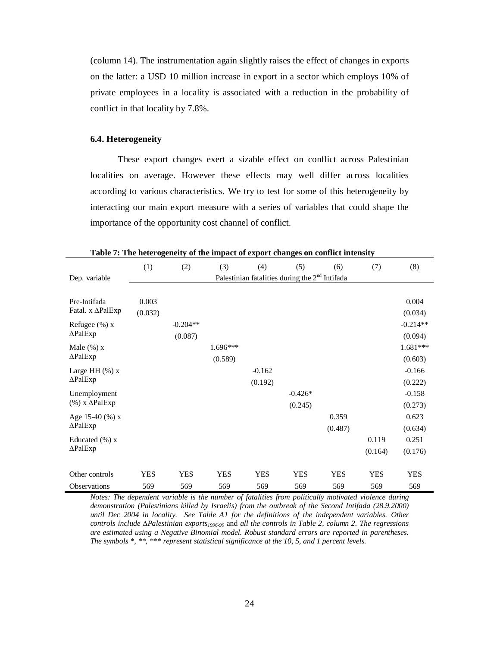(column 14). The instrumentation again slightly raises the effect of changes in exports on the latter: a USD 10 million increase in export in a sector which employs 10% of private employees in a locality is associated with a reduction in the probability of conflict in that locality by 7.8%.

### **6.4. Heterogeneity**

These export changes exert a sizable effect on conflict across Palestinian localities on average. However these effects may well differ across localities according to various characteristics. We try to test for some of this heterogeneity by interacting our main export measure with a series of variables that could shape the importance of the opportunity cost channel of conflict.

|                             | (1)        | (2)        | (3)        | (4)        | (5)                                              | (6)        | (7)        | (8)        |
|-----------------------------|------------|------------|------------|------------|--------------------------------------------------|------------|------------|------------|
| Dep. variable               |            |            |            |            | Palestinian fatalities during the $2nd$ Intifada |            |            |            |
|                             |            |            |            |            |                                                  |            |            |            |
| Pre-Intifada                | 0.003      |            |            |            |                                                  |            |            | 0.004      |
| Fatal. x ∆PalExp            | (0.032)    |            |            |            |                                                  |            |            | (0.034)    |
| Refugee $(\%) x$            |            | $-0.204**$ |            |            |                                                  |            |            | $-0.214**$ |
| $\Delta$ PalExp             |            | (0.087)    |            |            |                                                  |            |            | (0.094)    |
| Male $(\%) x$               |            |            | 1.696***   |            |                                                  |            |            | 1.681***   |
| $\Delta$ PalExp             |            |            | (0.589)    |            |                                                  |            |            | (0.603)    |
| Large HH $(\%)$ x           |            |            |            | $-0.162$   |                                                  |            |            | $-0.166$   |
| $\Delta$ PalExp             |            |            |            | (0.192)    |                                                  |            |            | (0.222)    |
| Unemployment                |            |            |            |            | $-0.426*$                                        |            |            | $-0.158$   |
| $(\%)$ x $\triangle$ PalExp |            |            |            |            | (0.245)                                          |            |            | (0.273)    |
| Age 15-40 $(\% )$ x         |            |            |            |            |                                                  | 0.359      |            | 0.623      |
| $\Delta$ PalExp             |            |            |            |            |                                                  | (0.487)    |            | (0.634)    |
| Educated $(\% )$ x          |            |            |            |            |                                                  |            | 0.119      | 0.251      |
| $\triangle$ PalExp          |            |            |            |            |                                                  |            | (0.164)    | (0.176)    |
|                             |            |            |            |            |                                                  |            |            |            |
| Other controls              | <b>YES</b> | <b>YES</b> | <b>YES</b> | <b>YES</b> | <b>YES</b>                                       | <b>YES</b> | <b>YES</b> | <b>YES</b> |
| <b>Observations</b>         | 569        | 569        | 569        | 569        | 569                                              | 569        | 569        | 569        |

**Table 7: The heterogeneity of the impact of export changes on conflict intensity**

*Notes: The dependent variable is the number of fatalities from politically motivated violence during demonstration (Palestinians killed by Israelis) from the outbreak of the Second Intifada (28.9.2000) until Dec 2004 in locality. See Table A1 for the definitions of the independent variables. Other controls include* ∆*Palestinian exports1996-99* and *all the controls in Table 2, column 2. The regressions are estimated using a Negative Binomial model. Robust standard errors are reported in parentheses. The symbols \*, \*\*, \*\*\* represent statistical significance at the 10, 5, and 1 percent levels.*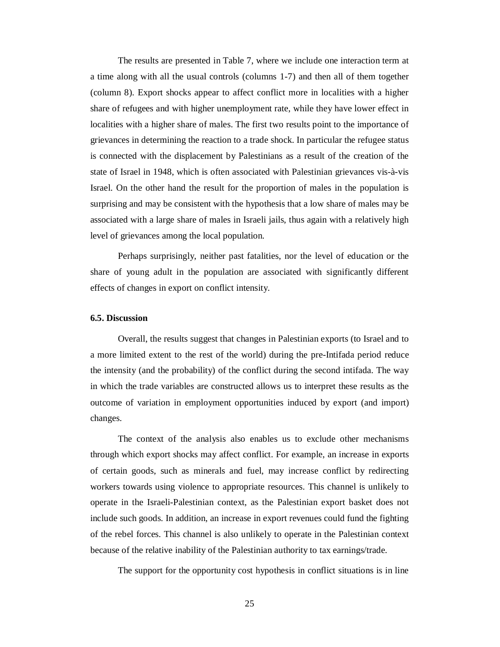The results are presented in Table 7, where we include one interaction term at a time along with all the usual controls (columns 1-7) and then all of them together (column 8). Export shocks appear to affect conflict more in localities with a higher share of refugees and with higher unemployment rate, while they have lower effect in localities with a higher share of males. The first two results point to the importance of grievances in determining the reaction to a trade shock. In particular the refugee status is connected with the displacement by Palestinians as a result of the creation of the state of Israel in 1948, which is often associated with Palestinian grievances vis-à-vis Israel. On the other hand the result for the proportion of males in the population is surprising and may be consistent with the hypothesis that a low share of males may be associated with a large share of males in Israeli jails, thus again with a relatively high level of grievances among the local population.

Perhaps surprisingly, neither past fatalities, nor the level of education or the share of young adult in the population are associated with significantly different effects of changes in export on conflict intensity.

#### **6.5. Discussion**

Overall, the results suggest that changes in Palestinian exports (to Israel and to a more limited extent to the rest of the world) during the pre-Intifada period reduce the intensity (and the probability) of the conflict during the second intifada. The way in which the trade variables are constructed allows us to interpret these results as the outcome of variation in employment opportunities induced by export (and import) changes.

The context of the analysis also enables us to exclude other mechanisms through which export shocks may affect conflict. For example, an increase in exports of certain goods, such as minerals and fuel, may increase conflict by redirecting workers towards using violence to appropriate resources. This channel is unlikely to operate in the Israeli-Palestinian context, as the Palestinian export basket does not include such goods. In addition, an increase in export revenues could fund the fighting of the rebel forces. This channel is also unlikely to operate in the Palestinian context because of the relative inability of the Palestinian authority to tax earnings/trade.

The support for the opportunity cost hypothesis in conflict situations is in line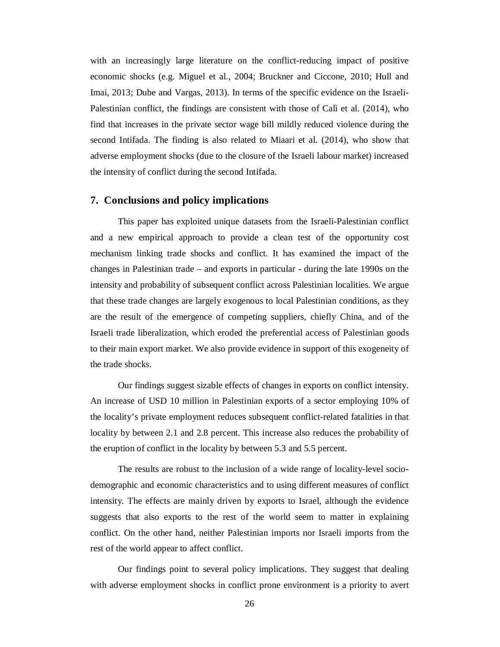with an increasingly large literature on the conflict-reducing impact of positive economic shocks (e.g. Miguel et al., 2004; Bruckner and Ciccone, 2010; Hull and Imai, 2013; Dube and Vargas, 2013). In terms of the specific evidence on the Israeli-Palestinian conflict, the findings are consistent with those of Calì et al. (2014), who find that increases in the private sector wage bill mildly reduced violence during the second Intifada. The finding is also related to Miaari et al. (2014), who show that adverse employment shocks (due to the closure of the Israeli labour market) increased the intensity of conflict during the second Intifada.

#### **7. Conclusions and policy implications**

This paper has exploited unique datasets from the Israeli-Palestinian conflict and a new empirical approach to provide a clean test of the opportunity cost mechanism linking trade shocks and conflict. It has examined the impact of the changes in Palestinian trade – and exports in particular - during the late 1990s on the intensity and probability of subsequent conflict across Palestinian localities. We argue that these trade changes are largely exogenous to local Palestinian conditions, as they are the result of the emergence of competing suppliers, chiefly China, and of the Israeli trade liberalization, which eroded the preferential access of Palestinian goods to their main export market. We also provide evidence in support of this exogeneity of the trade shocks.

Our findings suggest sizable effects of changes in exports on conflict intensity. An increase of USD 10 million in Palestinian exports of a sector employing 10% of the locality's private employment reduces subsequent conflict-related fatalities in that locality by between 2.1 and 2.8 percent. This increase also reduces the probability of the eruption of conflict in the locality by between 5.3 and 5.5 percent.

The results are robust to the inclusion of a wide range of locality-level sociodemographic and economic characteristics and to using different measures of conflict intensity. The effects are mainly driven by exports to Israel, although the evidence suggests that also exports to the rest of the world seem to matter in explaining conflict. On the other hand, neither Palestinian imports nor Israeli imports from the rest of the world appear to affect conflict.

Our findings point to several policy implications. They suggest that dealing with adverse employment shocks in conflict prone environment is a priority to avert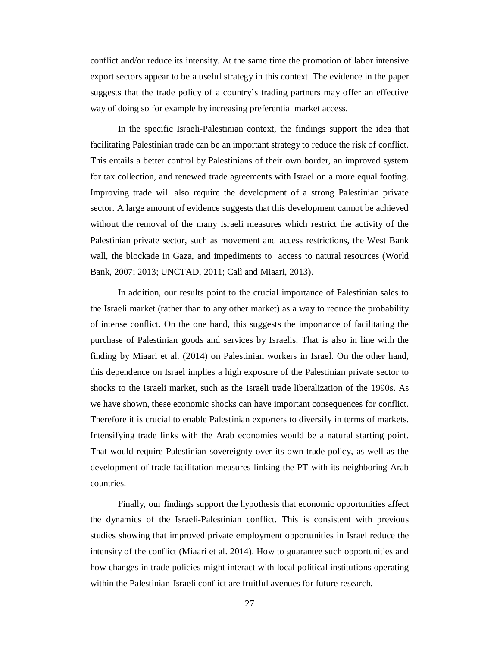conflict and/or reduce its intensity. At the same time the promotion of labor intensive export sectors appear to be a useful strategy in this context. The evidence in the paper suggests that the trade policy of a country's trading partners may offer an effective way of doing so for example by increasing preferential market access.

In the specific Israeli-Palestinian context, the findings support the idea that facilitating Palestinian trade can be an important strategy to reduce the risk of conflict. This entails a better control by Palestinians of their own border, an improved system for tax collection, and renewed trade agreements with Israel on a more equal footing. Improving trade will also require the development of a strong Palestinian private sector. A large amount of evidence suggests that this development cannot be achieved without the removal of the many Israeli measures which restrict the activity of the Palestinian private sector, such as movement and access restrictions, the West Bank wall, the blockade in Gaza, and impediments to access to natural resources (World Bank, 2007; 2013; UNCTAD, 2011; Calì and Miaari, 2013).

In addition, our results point to the crucial importance of Palestinian sales to the Israeli market (rather than to any other market) as a way to reduce the probability of intense conflict. On the one hand, this suggests the importance of facilitating the purchase of Palestinian goods and services by Israelis. That is also in line with the finding by Miaari et al. (2014) on Palestinian workers in Israel. On the other hand, this dependence on Israel implies a high exposure of the Palestinian private sector to shocks to the Israeli market, such as the Israeli trade liberalization of the 1990s. As we have shown, these economic shocks can have important consequences for conflict. Therefore it is crucial to enable Palestinian exporters to diversify in terms of markets. Intensifying trade links with the Arab economies would be a natural starting point. That would require Palestinian sovereignty over its own trade policy, as well as the development of trade facilitation measures linking the PT with its neighboring Arab countries.

Finally, our findings support the hypothesis that economic opportunities affect the dynamics of the Israeli-Palestinian conflict. This is consistent with previous studies showing that improved private employment opportunities in Israel reduce the intensity of the conflict (Miaari et al. 2014). How to guarantee such opportunities and how changes in trade policies might interact with local political institutions operating within the Palestinian-Israeli conflict are fruitful avenues for future research.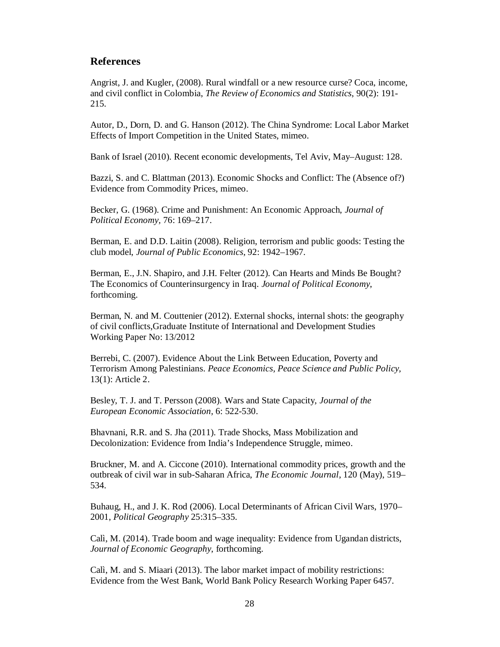# **References**

Angrist, J. and Kugler, (2008). Rural windfall or a new resource curse? Coca, income, and civil conflict in Colombia, *The Review of Economics and Statistics*, 90(2): 191- 215.

Autor, D., Dorn, D. and G. Hanson (2012). The China Syndrome: Local Labor Market Effects of Import Competition in the United States, mimeo.

Bank of Israel (2010). Recent economic developments, Tel Aviv, May–August: 128.

Bazzi, S. and C. Blattman (2013). Economic Shocks and Conflict: The (Absence of?) Evidence from Commodity Prices, mimeo.

Becker, G. (1968). Crime and Punishment: An Economic Approach, *Journal of Political Economy,* 76: 169–217.

Berman, E. and D.D. Laitin (2008). Religion, terrorism and public goods: Testing the club model, *Journal of Public Economics*, 92: 1942–1967.

Berman, E., J.N. Shapiro, and J.H. Felter (2012). Can Hearts and Minds Be Bought? The Economics of Counterinsurgency in Iraq. *Journal of Political Economy*, forthcoming.

Berman, N. and M. Couttenier (2012). External shocks, internal shots: the geography of civil conflicts,Graduate Institute of International and Development Studies Working Paper No: 13/2012

Berrebi, C. (2007). Evidence About the Link Between Education, Poverty and Terrorism Among Palestinians. *Peace Economics, Peace Science and Public Policy,* 13(1): Article 2.

Besley, T. J. and T. Persson (2008). Wars and State Capacity, *Journal of the European Economic Association,* 6: 522-530.

Bhavnani, R.R. and S. Jha (2011). Trade Shocks, Mass Mobilization and Decolonization: Evidence from India's Independence Struggle, mimeo.

Bruckner, M. and A. Ciccone (2010). International commodity prices, growth and the outbreak of civil war in sub-Saharan Africa, *The Economic Journal*, 120 (May), 519– 534.

Buhaug, H., and J. K. Rod (2006). Local Determinants of African Civil Wars, 1970– 2001, *Political Geography* 25:315–335.

Calì, M. (2014). Trade boom and wage inequality: Evidence from Ugandan districts, *Journal of Economic Geography*, forthcoming.

Calì, M. and S. Miaari (2013). The labor market impact of mobility restrictions: Evidence from the West Bank, World Bank Policy Research Working Paper 6457.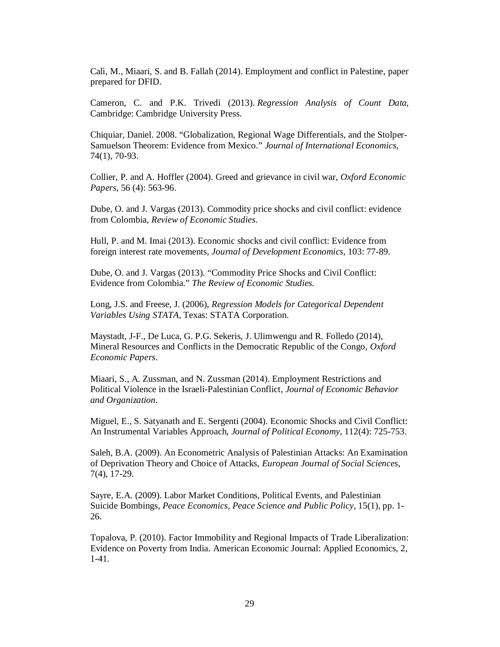Calì, M., Miaari, S. and B. Fallah (2014). Employment and conflict in Palestine, paper prepared for DFID.

Cameron, C. and P.K. Trivedi (2013). *Regression Analysis of Count Data*, Cambridge: Cambridge University Press.

Chiquiar, Daniel. 2008. "Globalization, Regional Wage Differentials, and the Stolper-Samuelson Theorem: Evidence from Mexico." *Journal of International Economics*, 74(1), 70-93.

Collier, P. and A. Hoffler (2004). Greed and grievance in civil war, *Oxford Economic Papers*, 56 (4): 563-96.

Dube, O. and J. Vargas (2013). Commodity price shocks and civil conflict: evidence from Colombia, *Review of Economic Studies*.

Hull, P. and M. Imai (2013). Economic shocks and civil conflict: Evidence from foreign interest rate movements, *Journal of Development Economics*, 103: 77-89.

Dube, O. and J. Vargas (2013). "Commodity Price Shocks and Civil Conflict: Evidence from Colombia." *The Review of Economic Studies.*

Long, J.S. and Freese, J. (2006), *Regression Models for Categorical Dependent Variables Using STATA*, Texas: STATA Corporation.

Maystadt, J-F., De Luca, G. P.G. Sekeris, J. Ulimwengu and R. Folledo (2014), Mineral Resources and Conflicts in the Democratic Republic of the Congo, *Oxford Economic Papers*.

Miaari, S., A. Zussman, and N. Zussman (2014). Employment Restrictions and Political Violence in the Israeli-Palestinian Conflict, *Journal of Economic Behavior and Organization*.

Miguel, E., S. Satyanath and E. Sergenti (2004). Economic Shocks and Civil Conflict: An Instrumental Variables Approach, *Journal of Political Economy,* 112(4): 725-753.

Saleh, B.A. (2009). An Econometric Analysis of Palestinian Attacks: An Examination of Deprivation Theory and Choice of Attacks, *European Journal of Social Sciences*, 7(4), 17-29.

Sayre, E.A. (2009). Labor Market Conditions, Political Events, and Palestinian Suicide Bombings, *Peace Economics, Peace Science and Public Policy*, 15(1), pp. 1- 26.

Topalova, P. (2010). Factor Immobility and Regional Impacts of Trade Liberalization: Evidence on Poverty from India. American Economic Journal: Applied Economics, 2, 1-41.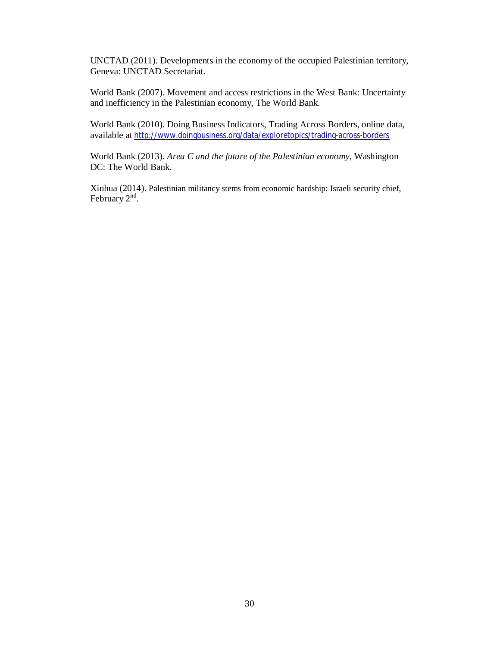UNCTAD (2011). Developments in the economy of the occupied Palestinian territory, Geneva: UNCTAD Secretariat.

World Bank (2007). Movement and access restrictions in the West Bank: Uncertainty and inefficiency in the Palestinian economy, The World Bank.

World Bank (2010). Doing Business Indicators, Trading Across Borders, online data, available at http://www.doingbusiness.org/data/exploretopics/trading-across-borders

World Bank (2013). *Area C and the future of the Palestinian economy*, Washington DC: The World Bank.

Xinhua (2014). Palestinian militancy stems from economic hardship: Israeli security chief, February  $2^{nd}$ .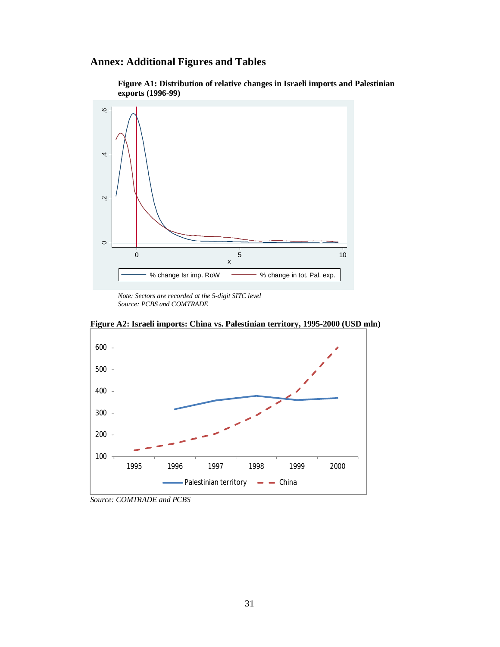# **Annex: Additional Figures and Tables**





*Note: Sectors are recorded at the 5-digit SITC level Source: PCBS and COMTRADE*



**Figure A2: Israeli imports: China vs. Palestinian territory, 1995-2000 (USD mln)** 

*Source: COMTRADE and PCBS*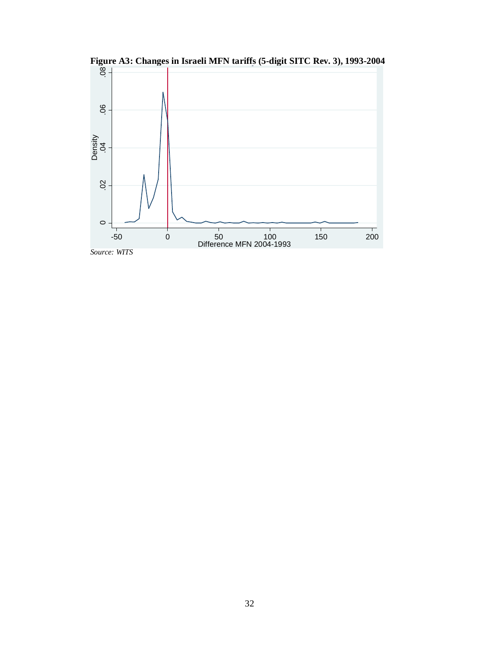

Figure A3: Changes in Israeli MFN tariffs (5-digit SITC Rev. 3), 1993-2004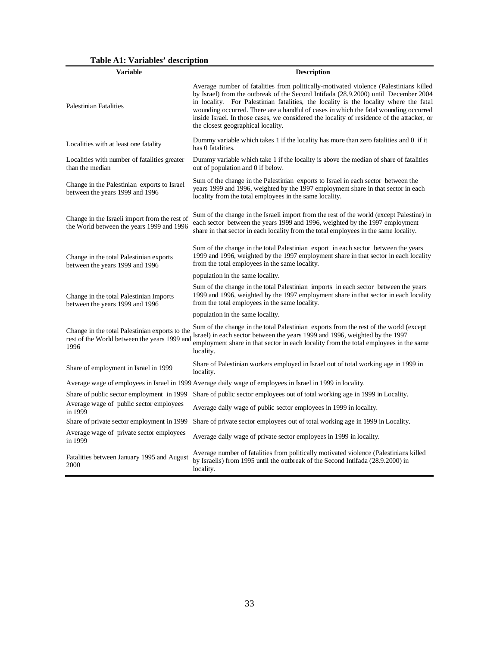**Table A1: Variables' description**

| Variable                                                                                               | <b>Description</b>                                                                                                                                                                                                                                                                                                                                                                                                                                                                                |  |  |  |  |
|--------------------------------------------------------------------------------------------------------|---------------------------------------------------------------------------------------------------------------------------------------------------------------------------------------------------------------------------------------------------------------------------------------------------------------------------------------------------------------------------------------------------------------------------------------------------------------------------------------------------|--|--|--|--|
| <b>Palestinian Fatalities</b>                                                                          | Average number of fatalities from politically-motivated violence (Palestinians killed<br>by Israel) from the outbreak of the Second Intifada (28.9.2000) until December 2004<br>in locality. For Palestinian fatalities, the locality is the locality where the fatal<br>wounding occurred. There are a handful of cases in which the fatal wounding occurred<br>inside Israel. In those cases, we considered the locality of residence of the attacker, or<br>the closest geographical locality. |  |  |  |  |
| Localities with at least one fatality                                                                  | Dummy variable which takes 1 if the locality has more than zero fatalities and 0 if it<br>has 0 fatalities.                                                                                                                                                                                                                                                                                                                                                                                       |  |  |  |  |
| Localities with number of fatalities greater<br>than the median                                        | Dummy variable which take 1 if the locality is above the median of share of fatalities<br>out of population and 0 if below.                                                                                                                                                                                                                                                                                                                                                                       |  |  |  |  |
| Change in the Palestinian exports to Israel<br>between the years 1999 and 1996                         | Sum of the change in the Palestinian exports to Israel in each sector between the<br>years 1999 and 1996, weighted by the 1997 employment share in that sector in each<br>locality from the total employees in the same locality.                                                                                                                                                                                                                                                                 |  |  |  |  |
| Change in the Israeli import from the rest of<br>the World between the years 1999 and 1996             | Sum of the change in the Israeli import from the rest of the world (except Palestine) in<br>each sector between the years 1999 and 1996, weighted by the 1997 employment<br>share in that sector in each locality from the total employees in the same locality.                                                                                                                                                                                                                                  |  |  |  |  |
| Change in the total Palestinian exports<br>between the years 1999 and 1996                             | Sum of the change in the total Palestinian export in each sector between the years<br>1999 and 1996, weighted by the 1997 employment share in that sector in each locality<br>from the total employees in the same locality.                                                                                                                                                                                                                                                                      |  |  |  |  |
|                                                                                                        | population in the same locality.                                                                                                                                                                                                                                                                                                                                                                                                                                                                  |  |  |  |  |
| Change in the total Palestinian Imports<br>between the years 1999 and 1996                             | Sum of the change in the total Palestinian imports in each sector between the years<br>1999 and 1996, weighted by the 1997 employment share in that sector in each locality<br>from the total employees in the same locality.                                                                                                                                                                                                                                                                     |  |  |  |  |
|                                                                                                        | population in the same locality.                                                                                                                                                                                                                                                                                                                                                                                                                                                                  |  |  |  |  |
| Change in the total Palestinian exports to the<br>rest of the World between the years 1999 and<br>1996 | Sum of the change in the total Palestinian exports from the rest of the world (except<br>Israel) in each sector between the years 1999 and 1996, weighted by the 1997<br>employment share in that sector in each locality from the total employees in the same<br>locality.                                                                                                                                                                                                                       |  |  |  |  |
| Share of employment in Israel in 1999                                                                  | Share of Palestinian workers employed in Israel out of total working age in 1999 in<br>locality.                                                                                                                                                                                                                                                                                                                                                                                                  |  |  |  |  |
|                                                                                                        | Average wage of employees in Israel in 1999 Average daily wage of employees in Israel in 1999 in locality.                                                                                                                                                                                                                                                                                                                                                                                        |  |  |  |  |
| Share of public sector employment in 1999                                                              | Share of public sector employees out of total working age in 1999 in Locality.                                                                                                                                                                                                                                                                                                                                                                                                                    |  |  |  |  |
| Average wage of public sector employees<br>in 1999                                                     | Average daily wage of public sector employees in 1999 in locality.                                                                                                                                                                                                                                                                                                                                                                                                                                |  |  |  |  |
| Share of private sector employment in 1999                                                             | Share of private sector employees out of total working age in 1999 in Locality.                                                                                                                                                                                                                                                                                                                                                                                                                   |  |  |  |  |
| Average wage of private sector employees<br>in 1999                                                    | Average daily wage of private sector employees in 1999 in locality.                                                                                                                                                                                                                                                                                                                                                                                                                               |  |  |  |  |
| Fatalities between January 1995 and August<br>2000                                                     | Average number of fatalities from politically motivated violence (Palestinians killed<br>by Israelis) from 1995 until the outbreak of the Second Intifada (28.9.2000) in<br>locality.                                                                                                                                                                                                                                                                                                             |  |  |  |  |